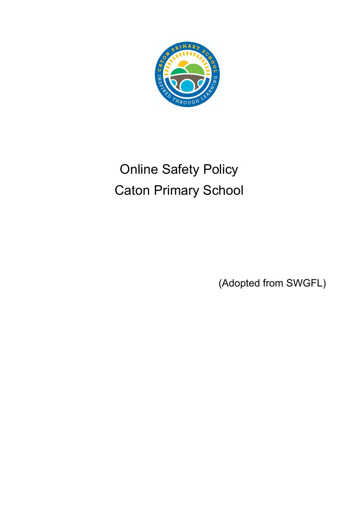

# Online Safety Policy Caton Primary School

(Adopted from SWGFL)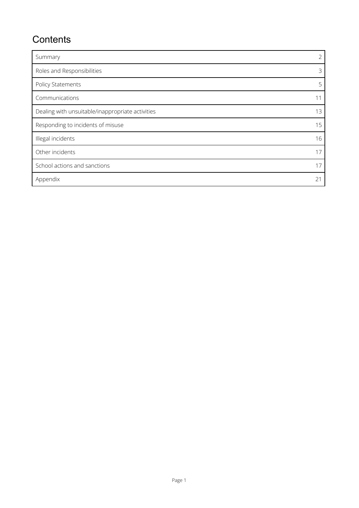## **Contents**

| Summary                                          | $\overline{2}$ |
|--------------------------------------------------|----------------|
| Roles and Responsibilities                       | 3              |
| Policy Statements                                | 5              |
| Communications                                   | 11             |
| Dealing with unsuitable/inappropriate activities | 13             |
| Responding to incidents of misuse                | 15             |
| Illegal incidents                                | 16             |
| Other incidents                                  | 17             |
| School actions and sanctions                     | 17             |
| Appendix                                         | 2 <sup>1</sup> |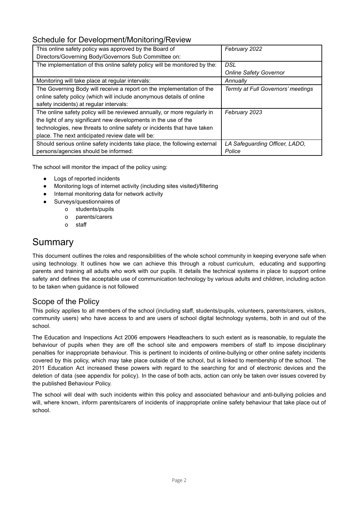## Schedule for Development/Monitoring/Review

| This online safety policy was approved by the Board of                    | February 2022                      |
|---------------------------------------------------------------------------|------------------------------------|
| Directors/Governing Body/Governors Sub Committee on:                      |                                    |
| The implementation of this online safety policy will be monitored by the: | DSL                                |
|                                                                           | <b>Online Safety Governor</b>      |
| Monitoring will take place at regular intervals:                          | Annually                           |
| The Governing Body will receive a report on the implementation of the     | Termly at Full Governors' meetings |
| online safety policy (which will include anonymous details of online      |                                    |
| safety incidents) at regular intervals:                                   |                                    |
| The online safety policy will be reviewed annually, or more regularly in  | February 2023                      |
| the light of any significant new developments in the use of the           |                                    |
| technologies, new threats to online safety or incidents that have taken   |                                    |
| place. The next anticipated review date will be:                          |                                    |
| Should serious online safety incidents take place, the following external | LA Safeguarding Officer, LADO,     |
| persons/agencies should be informed:                                      | Police                             |

The school will monitor the impact of the policy using:

- Logs of reported incidents
- Monitoring logs of internet activity (including sites visited)/filtering
- Internal monitoring data for network activity
- Surveys/questionnaires of
	- o students/pupils
	- o parents/carers
	- o staff

## <span id="page-2-0"></span>Summary

This document outlines the roles and responsibilities of the whole school community in keeping everyone safe when using technology. It outlines how we can achieve this through a robust curriculum, educating and supporting parents and training all adults who work with our pupils. It details the technical systems in place to support online safety and defines the acceptable use of communication technology by various adults and children, including action to be taken when guidance is not followed

## Scope of the Policy

This policy applies to all members of the school (including staff, students/pupils, volunteers, parents/carers, visitors, community users) who have access to and are users of school digital technology systems, both in and out of the school.

The Education and Inspections Act 2006 empowers Headteachers to such extent as is reasonable, to regulate the behaviour of pupils when they are off the school site and empowers members of staff to impose disciplinary penalties for inappropriate behaviour. This is pertinent to incidents of online-bullying or other online safety incidents covered by this policy, which may take place outside of the school, but is linked to membership of the school. The 2011 Education Act increased these powers with regard to the searching for and of electronic devices and the deletion of data (see appendix for policy). In the case of both acts, action can only be taken over issues covered by the published Behaviour Policy.

The school will deal with such incidents within this policy and associated behaviour and anti-bullying policies and will, where known, inform parents/carers of incidents of inappropriate online safety behaviour that take place out of school.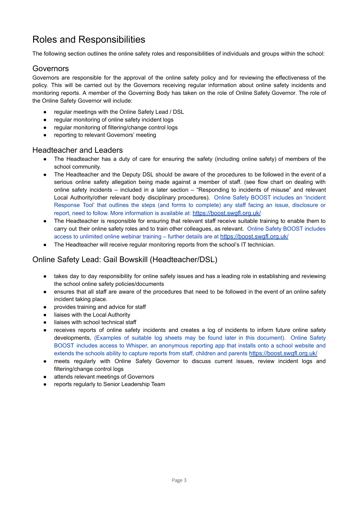## <span id="page-3-0"></span>Roles and Responsibilities

The following section outlines the online safety roles and responsibilities of individuals and groups within the school:

#### Governors

Governors are responsible for the approval of the online safety policy and for reviewing the effectiveness of the policy. This will be carried out by the Governors receiving regular information about online safety incidents and monitoring reports. A member of the Governing Body has taken on the role of Online Safety Governor. The role of the Online Safety Governor will include:

- regular meetings with the Online Safety Lead / DSL
- regular monitoring of online safety incident logs
- regular monitoring of filtering/change control logs
- reporting to relevant Governors' meeting

#### Headteacher and Leaders

- The Headteacher has a duty of care for ensuring the safety (including online safety) of members of the school community.
- The Headteacher and the Deputy DSL should be aware of the procedures to be followed in the event of a serious online safety allegation being made against a member of staff. (see flow chart on dealing with online safety incidents – included in a later section – "Responding to incidents of misuse" and relevant Local Authority/other relevant body disciplinary procedures). Online Safety BOOST includes an 'Incident Response Tool' that outlines the steps (and forms to complete) any staff facing an issue, disclosure or report, need to follow. More information is available at: <https://boost.swgfl.org.uk/>
- The Headteacher is responsible for ensuring that relevant staff receive suitable training to enable them to carry out their online safety roles and to train other colleagues, as relevant. Online Safety BOOST includes access to unlimited online webinar training – further details are at <https://boost.swgfl.org.uk/>
- The Headteacher will receive regular monitoring reports from the school's IT technician.

## Online Safety Lead: Gail Bowskill (Headteacher/DSL)

- takes day to day responsibility for online safety issues and has a leading role in establishing and reviewing the school online safety policies/documents
- ensures that all staff are aware of the procedures that need to be followed in the event of an online safety incident taking place.
- provides training and advice for staff
- liaises with the Local Authority
- liaises with school technical staff
- receives reports of online safety incidents and creates a log of incidents to inform future online safety developments, (Examples of suitable log sheets may be found later in this document). Online Safety BOOST includes access to Whisper, an anonymous reporting app that installs onto a school website and extends the schools ability to capture reports from staff, children and parents <https://boost.swgfl.org.uk/>
- meets regularly with Online Safety Governor to discuss current issues, review incident logs and filtering/change control logs
- attends relevant meetings of Governors
- reports regularly to Senior Leadership Team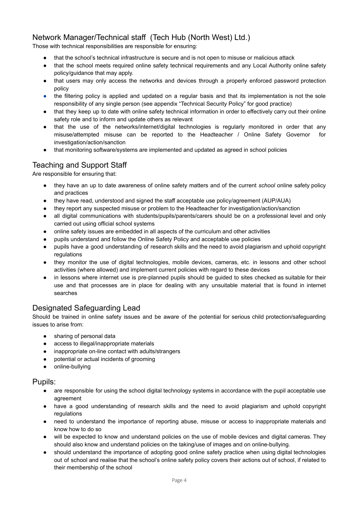## Network Manager/Technical staff (Tech Hub (North West) Ltd.)

Those with technical responsibilities are responsible for ensuring:

- that the school's technical infrastructure is secure and is not open to misuse or malicious attack
- that the school meets required online safety technical requirements and any Local Authority online safety policy/guidance that may apply.
- that users may only access the networks and devices through a properly enforced password protection policy
- the filtering policy is applied and updated on a regular basis and that its implementation is not the sole responsibility of any single person (see appendix "Technical Security Policy" for good practice)
- that they keep up to date with online safety technical information in order to effectively carry out their online safety role and to inform and update others as relevant
- that the use of the networks/internet/digital technologies is regularly monitored in order that any misuse/attempted misuse can be reported to the Headteacher / Online Safety Governor for investigation/action/sanction
- that monitoring software/systems are implemented and updated as agreed in school policies

## Teaching and Support Staff

Are responsible for ensuring that:

- they have an up to date awareness of online safety matters and of the current *school* online safety policy and practices
- they have read, understood and signed the staff acceptable use policy/agreement (AUP/AUA)
- they report any suspected misuse or problem to the Headteacher for investigation/action/sanction
- all digital communications with students/pupils/parents/carers should be on a professional level and only carried out using official school systems
- online safety issues are embedded in all aspects of the curriculum and other activities
- pupils understand and follow the Online Safety Policy and acceptable use policies
- pupils have a good understanding of research skills and the need to avoid plagiarism and uphold copyright regulations
- they monitor the use of digital technologies, mobile devices, cameras, etc. in lessons and other school activities (where allowed) and implement current policies with regard to these devices
- in lessons where internet use is pre-planned pupils should be guided to sites checked as suitable for their use and that processes are in place for dealing with any unsuitable material that is found in internet searches

## Designated Safeguarding Lead

Should be trained in online safety issues and be aware of the potential for serious child protection/safeguarding issues to arise from:

- sharing of personal data
- access to illegal/inappropriate materials
- inappropriate on-line contact with adults/strangers
- potential or actual incidents of grooming
- online-bullying

#### Pupils:

- are responsible for using the school digital technology systems in accordance with the pupil acceptable use agreement
- have a good understanding of research skills and the need to avoid plagiarism and uphold copyright regulations
- need to understand the importance of reporting abuse, misuse or access to inappropriate materials and know how to do so
- will be expected to know and understand policies on the use of mobile devices and digital cameras. They should also know and understand policies on the taking/use of images and on online-bullying.
- should understand the importance of adopting good online safety practice when using digital technologies out of school and realise that the school's online safety policy covers their actions out of school, if related to their membership of the school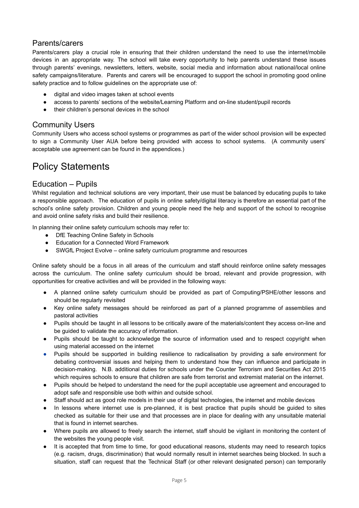## Parents/carers

Parents/carers play a crucial role in ensuring that their children understand the need to use the internet/mobile devices in an appropriate way. The school will take every opportunity to help parents understand these issues through parents' evenings, newsletters, letters, website, social media and information about national/local online safety campaigns/literature. Parents and carers will be encouraged to support the school in promoting good online safety practice and to follow guidelines on the appropriate use of:

- digital and video images taken at school events
- access to parents' sections of the website/Learning Platform and on-line student/pupil records
- their children's personal devices in the school

### Community Users

Community Users who access school systems or programmes as part of the wider school provision will be expected to sign a Community User AUA before being provided with access to school systems. (A community users' acceptable use agreement can be found in the appendices.)

## <span id="page-5-0"></span>Policy Statements

### Education – Pupils

Whilst regulation and technical solutions are very important, their use must be balanced by educating pupils to take a responsible approach. The education of pupils in online safety/digital literacy is therefore an essential part of the school's online safety provision. Children and young people need the help and support of the school to recognise and avoid online safety risks and build their resilience.

In planning their online safety curriculum schools may refer to:

- DfE [Teaching](https://www.gov.uk/government/publications/teaching-online-safety-in-schools) Online Safety in Schools
- Education for a Connected Word [Framework](https://www.gov.uk/government/publications/education-for-a-connected-world)
- SWGfL Project Evolve online safety curriculum [programme](https://evolve.swgfl.co.uk/toolkit/) and resources

Online safety should be a focus in all areas of the curriculum and staff should reinforce online safety messages across the curriculum. The online safety curriculum should be broad, relevant and provide progression, with opportunities for creative activities and will be provided in the following ways:

- A planned online safety curriculum should be provided as part of Computing/PSHE/other lessons and should be regularly revisited
- Key online safety messages should be reinforced as part of a planned programme of assemblies and pastoral activities
- Pupils should be taught in all lessons to be critically aware of the materials/content they access on-line and be guided to validate the accuracy of information.
- Pupils should be taught to acknowledge the source of information used and to respect copyright when using material accessed on the internet
- Pupils should be supported in building resilience to radicalisation by providing a safe environment for debating controversial issues and helping them to understand how they can influence and participate in decision-making. N.B. additional duties for schools under the Counter Terrorism and Securities Act 2015 which requires schools to ensure that children are safe from terrorist and extremist material on the internet.
- Pupils should be helped to understand the need for the pupil acceptable use agreement and encouraged to adopt safe and responsible use both within and outside school.
- Staff should act as good role models in their use of digital technologies, the internet and mobile devices
- In lessons where internet use is pre-planned, it is best practice that pupils should be guided to sites checked as suitable for their use and that processes are in place for dealing with any unsuitable material that is found in internet searches.
- Where pupils are allowed to freely search the internet, staff should be vigilant in monitoring the content of the websites the young people visit.
- It is accepted that from time to time, for good educational reasons, students may need to research topics (e.g. racism, drugs, discrimination) that would normally result in internet searches being blocked. In such a situation, staff can request that the Technical Staff (or other relevant designated person) can temporarily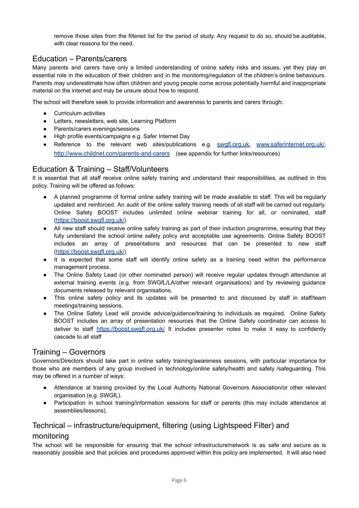remove those sites from the filtered list for the period of study. Any request to do so, should be auditable, with clear reasons for the need.

## Education – Parents/carers

Many parents and carers have only a limited understanding of online safety risks and issues, yet they play an essential role in the education of their children and in the monitoring/regulation of the children's online behaviours. Parents may underestimate how often children and young people come across potentially harmful and inappropriate material on the internet and may be unsure about how to respond.

The school will therefore seek to provide information and awareness to parents and carers through:

- Curriculum activities
- Letters, newsletters, web site, Learning Platform
- Parents/carers evenings/sessions
- High profile events/campaigns e.g. Safer Internet Day
- Reference to the relevant web sites/publications e.g. [swgfl.org.uk](http://swgfl.org.uk), [www.saferinternet.org.uk/](http://www.saferinternet.org.uk/), <http://www.childnet.com/parents-and-carers> (see appendix for further links/resources)

#### Education & Training – Staff/Volunteers

It is essential that all staff receive online safety training and understand their responsibilities, as outlined in this policy. Training will be offered as follows:

- A planned programme of formal online safety training will be made available to staff. This will be regularly updated and reinforced. An audit of the online safety training needs of all staff will be carried out regularly. Online Safety BOOST includes unlimited online webinar training for all, or nominated, staff (<https://boost.swgfl.org.uk/>)
- All new staff should receive online safety training as part of their induction programme, ensuring that they fully understand the school online safety policy and acceptable use agreements. Online Safety BOOST includes an array of presentations and resources that can be presented to new staff (<https://boost.swgfl.org.uk/>)
- It is expected that some staff will identify online safety as a training need within the performance management process.
- The Online Safety Lead (or other nominated person) will receive regular updates through attendance at external training events (e.g. from SWGfL/LA/other relevant organisations) and by reviewing guidance documents released by relevant organisations.
- This online safety policy and its updates will be presented to and discussed by staff in staff/team meetings/training sessions.
- The Online Safety Lead will provide advice/guidance/training to individuals as required. Online Safety BOOST includes an array of presentation resources that the Online Safety coordinator can access to deliver to staff <https://boost.swgfl.org.uk/> It includes presenter notes to make it easy to confidently cascade to all staff

#### Training – Governors

Governors/Directors should take part in online safety training/awareness sessions, with particular importance for those who are members of any group involved in technology/online safety/health and safety /safeguarding. This may be offered in a number of ways:

- Attendance at training provided by the Local Authority National Governors Association/or other relevant organisation (e.g. SWGfL).
- Participation in school training/information sessions for staff or parents (this may include attendance at assemblies/lessons).

## Technical – infrastructure/equipment, filtering (using Lightspeed Filter) and

#### monitoring

The school will be responsible for ensuring that the school infrastructure/network is as safe and secure as is reasonably possible and that policies and procedures approved within this policy are implemented. It will also need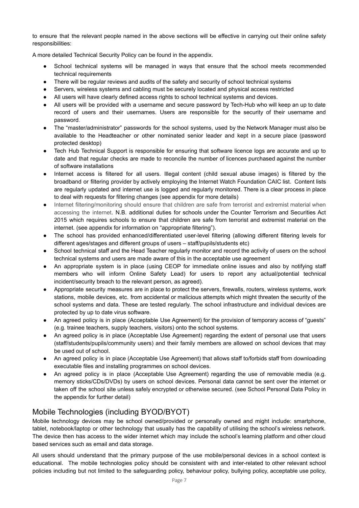to ensure that the relevant people named in the above sections will be effective in carrying out their online safety responsibilities:

A more detailed Technical Security Policy can be found in the appendix.

- School technical systems will be managed in ways that ensure that the school meets recommended technical requirements
- There will be regular reviews and audits of the safety and security of school technical systems
- Servers, wireless systems and cabling must be securely located and physical access restricted
- All users will have clearly defined access rights to school technical systems and devices.
- All users will be provided with a username and secure password by Tech-Hub who will keep an up to date record of users and their usernames. Users are responsible for the security of their username and password.
- The "master/administrator" passwords for the school systems, used by the Network Manager must also be available to the Headteacher or other nominated senior leader and kept in a secure place (password protected desktop)
- Tech Hub Technical Support is responsible for ensuring that software licence logs are accurate and up to date and that regular checks are made to reconcile the number of licences purchased against the number of software installations
- Internet access is filtered for all users. Illegal content (child sexual abuse images) is filtered by the broadband or filtering provider by actively employing the Internet Watch Foundation CAIC list. Content lists are regularly updated and internet use is logged and regularly monitored. There is a clear process in place to deal with requests for filtering changes (see appendix for more details)
- Internet filtering/monitoring should ensure that children are safe from terrorist and extremist material when accessing the internet. N.B. additional duties for schools under the Counter Terrorism and Securities Act 2015 which requires schools to ensure that children are safe from terrorist and extremist material on the internet. (see appendix for information on "appropriate filtering").
- The school has provided enhanced/differentiated user-level filtering (allowing different filtering levels for different ages/stages and different groups of users – staff/pupils/students etc)
- School technical staff and the Head Teacher regularly monitor and record the activity of users on the school technical systems and users are made aware of this in the acceptable use agreement
- An appropriate system is in place (using CEOP for immediate online issues and also by notifying staff members who will inform Online Safety Lead) for users to report any actual/potential technical incident/security breach to the relevant person, as agreed).
- Appropriate security measures are in place to protect the servers, firewalls, routers, wireless systems, work stations, mobile devices, etc. from accidental or malicious attempts which might threaten the security of the school systems and data. These are tested regularly. The school infrastructure and individual devices are protected by up to date virus software.
- An agreed policy is in place (Acceptable Use Agreement) for the provision of temporary access of "guests" (e.g. trainee teachers, supply teachers, visitors) onto the school systems.
- An agreed policy is in place (Acceptable Use Agreement) regarding the extent of personal use that users (staff/students/pupils/community users) and their family members are allowed on school devices that may be used out of school.
- An agreed policy is in place (Acceptable Use Agreement) that allows staff to/forbids staff from downloading executable files and installing programmes on school devices.
- An agreed policy is in place (Acceptable Use Agreement) regarding the use of removable media (e.g. memory sticks/CDs/DVDs) by users on school devices. Personal data cannot be sent over the internet or taken off the school site unless safely encrypted or otherwise secured. (see School Personal Data Policy in the appendix for further detail)

## Mobile Technologies (including BYOD/BYOT)

Mobile technology devices may be school owned/provided or personally owned and might include: smartphone, tablet, notebook/laptop or other technology that usually has the capability of utilising the school's wireless network. The device then has access to the wider internet which may include the school's learning platform and other cloud based services such as email and data storage.

All users should understand that the primary purpose of the use mobile/personal devices in a school context is educational. The mobile technologies policy should be consistent with and inter-related to other relevant school policies including but not limited to the safeguarding policy, behaviour policy, bullying policy, acceptable use policy,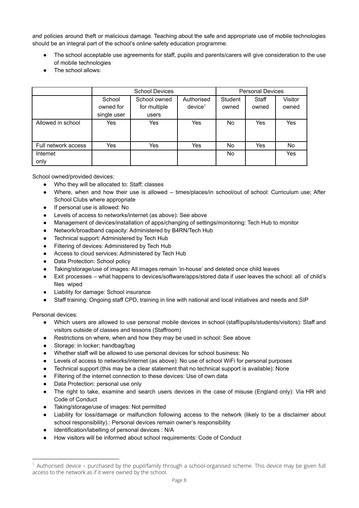and policies around theft or malicious damage. Teaching about the safe and appropriate use of mobile technologies should be an integral part of the school's online safety education programme.

- The school acceptable use agreements for staff, pupils and parents/carers will give consideration to the use of mobile technologies
- The school allows:

|                     |             | <b>School Devices</b> |                     | <b>Personal Devices</b> |       |         |
|---------------------|-------------|-----------------------|---------------------|-------------------------|-------|---------|
|                     | School      | School owned          | Authorised          | Student                 | Staff | Visitor |
|                     | owned for   | for multiple          | device <sup>1</sup> | owned                   | owned | owned   |
|                     | single user | users                 |                     |                         |       |         |
| Allowed in school   | Yes         | Yes                   | Yes                 | No.                     | Yes   | Yes     |
|                     |             |                       |                     |                         |       |         |
|                     |             |                       |                     |                         |       |         |
| Full network access | Yes         | Yes                   | Yes                 | No.                     | Yes   | No      |
| Internet            |             |                       |                     | No.                     |       | Yes     |
| only                |             |                       |                     |                         |       |         |

School owned/provided devices:

- Who they will be allocated to: Staff; classes
- Where, when and how their use is allowed times/places/in school/out of school: Curriculum use; After School Clubs where appropriate
- If personal use is allowed: No
- Levels of access to networks/internet (as above): See above
- Management of devices/installation of apps/changing of settings/monitoring: Tech Hub to monitor
- Network/broadband capacity: Administered by B4RN/Tech Hub
- Technical support: Administered by Tech Hub
- **Filtering of devices: Administered by Tech Hub**
- Access to cloud services: Administered by Tech Hub
- Data Protection: School policy
- Taking/storage/use of images: All images remain 'in-house' and deleted once child leaves
- Exit processes what happens to devices/software/apps/stored data if user leaves the school: all of child's files wiped
- Liability for damage: School insurance
- Staff training: Ongoing staff CPD, training in line with national and local initiatives and needs and SIP

Personal devices:

- Which users are allowed to use personal mobile devices in school (staff/pupils/students/visitors): Staff and visitors outside of classes and lessons (Staffroom)
- Restrictions on where, when and how they may be used in school: See above
- Storage: in locker; handbag/bag
- Whether staff will be allowed to use personal devices for school business: No
- Levels of access to networks/internet (as above): No use of school WiFi for personal purposes
- Technical support (this may be a clear statement that no technical support is available): None
- Filtering of the internet connection to these devices: Use of own data
- Data Protection: personal use only
- The right to take, examine and search users devices in the case of misuse (England only): Via HR and Code of Conduct
- Taking/storage/use of images: Not permitted
- Liability for loss/damage or malfunction following access to the network (likely to be a disclaimer about school responsibility).: Personal devices remain owner's responsibility
- Identification/labelling of personal devices : N/A
- How visitors will be informed about school requirements: Code of Conduct

 $1$  Authorised device – purchased by the pupil/family through a school-organised scheme. This device may be given full access to the network as if it were owned by the school.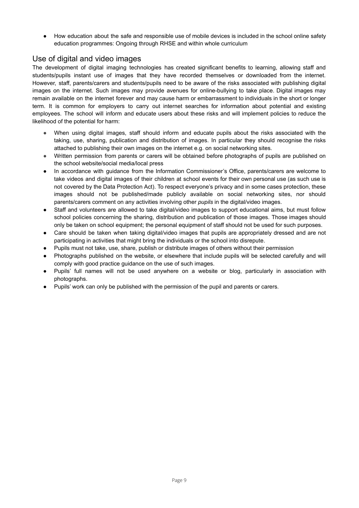How education about the safe and responsible use of mobile devices is included in the school online safety education programmes: Ongoing through RHSE and within whole curriculum

### Use of digital and video images

The development of digital imaging technologies has created significant benefits to learning, allowing staff and students/pupils instant use of images that they have recorded themselves or downloaded from the internet. However, staff, parents/carers and students/pupils need to be aware of the risks associated with publishing digital images on the internet. Such images may provide avenues for online-bullying to take place. Digital images may remain available on the internet forever and may cause harm or embarrassment to individuals in the short or longer term. It is common for employers to carry out internet searches for information about potential and existing employees. The school will inform and educate users about these risks and will implement policies to reduce the likelihood of the potential for harm:

- When using digital images, staff should inform and educate pupils about the risks associated with the taking, use, sharing, publication and distribution of images. In particular they should recognise the risks attached to publishing their own images on the internet e.g. on social networking sites.
- Written permission from parents or carers will be obtained before photographs of pupils are published on the school website/social media/local press
- In accordance with quidance from the Information Commissioner's Office, parents/carers are welcome to take videos and digital images of their children at school events for their own personal use (as such use is not covered by the Data Protection Act). To respect everyone's privacy and in some cases protection, these images should not be published/made publicly available on social networking sites, nor should parents/carers comment on any activities involving other *pupils* in the digital/video images.
- Staff and volunteers are allowed to take digital/video images to support educational aims, but must follow school policies concerning the sharing, distribution and publication of those images. Those images should only be taken on school equipment; the personal equipment of staff should not be used for such purposes.
- Care should be taken when taking digital/video images that pupils are appropriately dressed and are not participating in activities that might bring the individuals or the school into disrepute.
- Pupils must not take, use, share, publish or distribute images of others without their permission
- Photographs published on the website, or elsewhere that include pupils will be selected carefully and will comply with good practice guidance on the use of such images.
- Pupils' full names will not be used anywhere on a website or blog, particularly in association with photographs.
- Pupils' work can only be published with the permission of the pupil and parents or carers.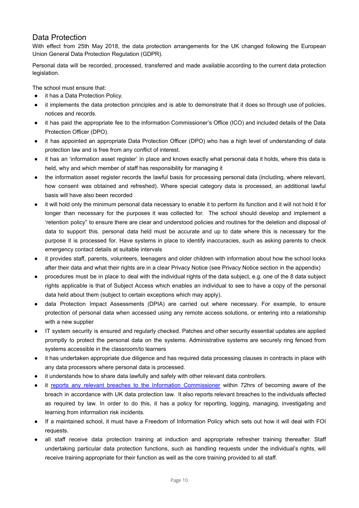## Data Protection

With effect from 25th May 2018, the data protection arrangements for the UK changed following the European Union General Data Protection Regulation (GDPR).

Personal data will be recorded, processed, transferred and made available according to the current data protection legislation.

The school must ensure that:

- it has a Data Protection Policy.
- it implements the data protection principles and is able to demonstrate that it does so through use of policies, notices and records.
- it has paid the appropriate fee to the information Commissioner's Office (ICO) and included details of the Data Protection Officer (DPO).
- it has appointed an appropriate Data Protection Officer (DPO) who has a high level of understanding of data protection law and is free from any conflict of interest.
- it has an 'information asset register' in place and knows exactly what personal data it holds, where this data is held, why and which member of staff has responsibility for managing it
- the information asset register records the lawful basis for processing personal data (including, where relevant, how consent was obtained and refreshed). Where special category data is processed, an additional lawful basis will have also been recorded
- it will hold only the minimum personal data necessary to enable it to perform its function and it will not hold it for longer than necessary for the purposes it was collected for. The school should develop and implement a 'retention policy" to ensure there are clear and understood policies and routines for the deletion and disposal of data to support this. personal data held must be accurate and up to date where this is necessary for the purpose it is processed for. Have systems in place to identify inaccuracies, such as asking parents to check emergency contact details at suitable intervals
- it provides staff, parents, volunteers, teenagers and older children with information about how the school looks after their data and what their rights are in a clear Privacy Notice (see Privacy Notice section in the appendix)
- procedures must be in place to deal with the individual rights of the data subject, e.g. one of the 8 data subject rights applicable is that of Subject Access which enables an individual to see to have a copy of the personal data held about them (subject to certain exceptions which may apply).
- data Protection Impact Assessments (DPIA) are carried out where necessary. For example, to ensure protection of personal data when accessed using any remote access solutions, or entering into a relationship with a new supplier
- IT system security is ensured and regularly checked. Patches and other security essential updates are applied promptly to protect the personal data on the systems. Administrative systems are securely ring fenced from systems accessible in the classroom/to learners
- it has undertaken appropriate due diligence and has required data processing clauses in contracts in place with any data processors where personal data is processed.
- it understands how to share data lawfully and safely with other relevant data controllers.
- it reports any relevant breaches to the Information [Commissioner](https://ico.org.uk/for-organisations/report-a-breach/) within 72hrs of becoming aware of the breach in accordance with UK data protection law. It also reports relevant breaches to the individuals affected as required by law. In order to do this, it has a policy for reporting, logging, managing, investigating and learning from information risk incidents.
- If a maintained school, it must have a Freedom of Information Policy which sets out how it will deal with FOI requests.
- all staff receive data protection training at induction and appropriate refresher training thereafter. Staff undertaking particular data protection functions, such as handling requests under the individual's rights, will receive training appropriate for their function as well as the core training provided to all staff.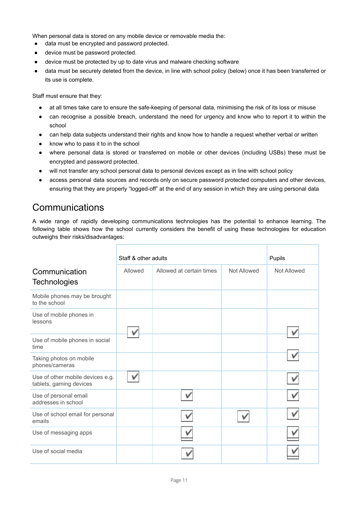When personal data is stored on any mobile device or removable media the:

- data must be encrypted and password protected.
- device must be password protected.
- device must be protected by up to date virus and malware checking software
- data must be securely deleted from the device, in line with school policy (below) once it has been transferred or its use is complete.

Staff must ensure that they:

- at all times take care to ensure the safe-keeping of personal data, minimising the risk of its loss or misuse
- can recognise a possible breach, understand the need for urgency and know who to report it to within the school
- can help data subjects understand their rights and know how to handle a request whether verbal or written
- know who to pass it to in the school
- where personal data is stored or transferred on mobile or other devices (including USBs) these must be encrypted and password protected.
- will not transfer any school personal data to personal devices except as in line with school policy
- access personal data sources and records only on secure password protected computers and other devices, ensuring that they are properly "logged-off" at the end of any session in which they are using personal data

## <span id="page-11-0"></span>**Communications**

A wide range of rapidly developing communications technologies has the potential to enhance learning. The following table shows how the school currently considers the benefit of using these technologies for education outweighs their risks/disadvantages:

|                                                             | Staff & other adults |                          | Pupils      |             |
|-------------------------------------------------------------|----------------------|--------------------------|-------------|-------------|
| Communication<br><b>Technologies</b>                        | Allowed              | Allowed at certain times | Not Allowed | Not Allowed |
| Mobile phones may be brought<br>to the school               |                      |                          |             |             |
| Use of mobile phones in<br>lessons                          |                      |                          |             |             |
| Use of mobile phones in social<br>time                      |                      |                          |             |             |
| Taking photos on mobile<br>phones/cameras                   |                      |                          |             |             |
| Use of other mobile devices e.g.<br>tablets, gaming devices |                      |                          |             |             |
| Use of personal email<br>addresses in school                |                      |                          |             |             |
| Use of school email for personal<br>emails                  |                      |                          |             |             |
| Use of messaging apps                                       |                      |                          |             |             |
| Use of social media                                         |                      |                          |             |             |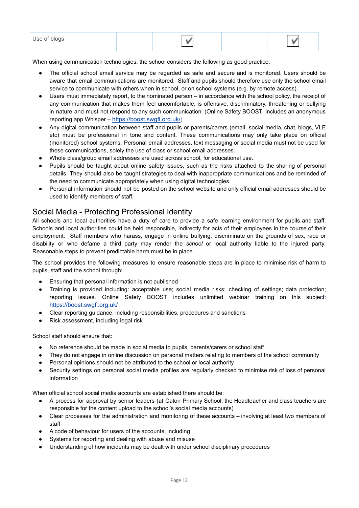| Use.<br>ັ |  |  |
|-----------|--|--|
|           |  |  |

When using communication technologies, the school considers the following as good practice:

- The official school email service may be regarded as safe and secure and is monitored. Users should be aware that email communications are monitored. Staff and pupils should therefore use only the school email service to communicate with others when in school, or on school systems (e.g. by remote access).
- Users must immediately report, to the nominated person in accordance with the school policy, the receipt of any communication that makes them feel uncomfortable, is offensive, discriminatory, threatening or bullying in nature and must not respond to any such communication. (Online Safety BOOST includes an anonymous reporting app Whisper – <https://boost.swgfl.org.uk/>)
- Any digital communication between staff and pupils or parents/carers (email, social media, chat, blogs, VLE etc) must be professional in tone and content. These communications may only take place on official (monitored) school systems. Personal email addresses, text messaging or social media must not be used for these communications, solely the use of class or school email addresses.
- Whole class/group email addresses are used across school, for educational use.
- Pupils should be taught about online safety issues, such as the risks attached to the sharing of personal details. They should also be taught strategies to deal with inappropriate communications and be reminded of the need to communicate appropriately when using digital technologies.
- Personal information should not be posted on the school website and only official email addresses should be used to identify members of staff.

#### Social Media - Protecting Professional Identity

All schools and local authorities have a duty of care to provide a safe learning environment for pupils and staff. Schools and local authorities could be held responsible, indirectly for acts of their employees in the course of their employment. Staff members who harass, engage in online bullying, discriminate on the grounds of sex, race or disability or who defame a third party may render the *school* or local authority liable to the injured party. Reasonable steps to prevent predictable harm must be in place.

The school provides the following measures to ensure reasonable steps are in place to minimise risk of harm to pupils, staff and the school through:

- Ensuring that personal information is not published
- Training is provided including: acceptable use; social media risks; checking of settings; data protection; reporting issues. Online Safety BOOST includes unlimited webinar training on this subject: <https://boost.swgfl.org.uk/>
- Clear reporting guidance, including responsibilities, procedures and sanctions
- Risk assessment, including legal risk

School staff should ensure that:

- No reference should be made in social media to pupils, parents/carers or school staff
- They do not engage in online discussion on personal matters relating to members of the school community
- Personal opinions should not be attributed to the school or local authority
- Security settings on personal social media profiles are regularly checked to minimise risk of loss of personal information

When official school social media accounts are established there should be:

- A process for approval by senior leaders (at Caton Primary School, the Headteacher and class teachers are responsible for the content upload to the school's social media accounts)
- Clear processes for the administration and monitoring of these accounts involving at least two members of staff
- A code of behaviour for users of the accounts, including
- Systems for reporting and dealing with abuse and misuse
- Understanding of how incidents may be dealt with under school disciplinary procedures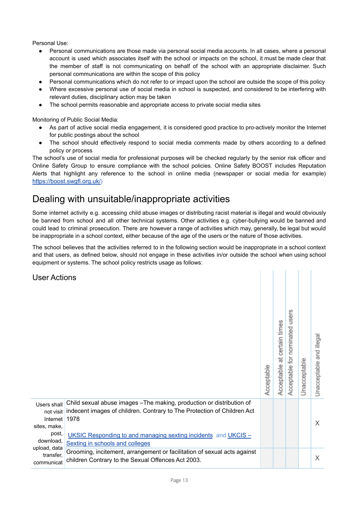Personal Use:

- Personal communications are those made via personal social media accounts. In all cases, where a personal account is used which associates itself with the school or impacts on the school, it must be made clear that the member of staff is not communicating on behalf of the school with an appropriate disclaimer. Such personal communications are within the scope of this policy
- Personal communications which do not refer to or impact upon the school are outside the scope of this policy
- Where excessive personal use of social media in school is suspected, and considered to be interfering with relevant duties, disciplinary action may be taken
- The school permits reasonable and appropriate access to private social media sites

Monitoring of Public Social Media:

- As part of active social media engagement, it is considered good practice to pro-actively monitor the Internet for public postings about the school
- The school should effectively respond to social media comments made by others according to a defined policy or process

The school's use of social media for professional purposes will be checked regularly by the senior risk officer and Online Safety Group to ensure compliance with the school policies. Online Safety BOOST includes Reputation Alerts that highlight any reference to the school in online media (newspaper or social media for example) <https://boost.swgfl.org.uk/>)

## <span id="page-13-0"></span>Dealing with unsuitable/inappropriate activities

Some internet activity e.g. accessing child abuse images or distributing racist material is illegal and would obviously be banned from school and all other technical systems. Other activities e.g. cyber-bullying would be banned and could lead to criminal prosecution. There are however a range of activities which may, generally, be legal but would be inappropriate in a school context, either because of the age of the users or the nature of those activities.

The school believes that the activities referred to in the following section would be inappropriate in a school context and that users, as defined below, should not engage in these activities in/or outside the school when using school equipment or systems. The school policy restricts usage as follows:

 $| - | - | - | - | - |$ 

User Actions

| USEI ACTIONS                                         |                                                                                                                                                          | Acceptable | certain times<br>ಸ<br>Acceptable | users<br>nominated<br>Acceptable for | Unacceptable | illegal<br>and<br>Unacceptable |
|------------------------------------------------------|----------------------------------------------------------------------------------------------------------------------------------------------------------|------------|----------------------------------|--------------------------------------|--------------|--------------------------------|
| Users shall<br>not visit<br>Internet<br>sites, make, | Child sexual abuse images - The making, production or distribution of<br>indecent images of children. Contrary to The Protection of Children Act<br>1978 |            |                                  |                                      |              | X                              |
| post,<br>download,                                   | UKSIC Responding to and managing sexting incidents and UKCIS -<br>Sexting in schools and colleges                                                        |            |                                  |                                      |              |                                |
| upload, data<br>transfer,<br>communicat              | Grooming, incitement, arrangement or facilitation of sexual acts against<br>children Contrary to the Sexual Offences Act 2003.                           |            |                                  |                                      |              | X                              |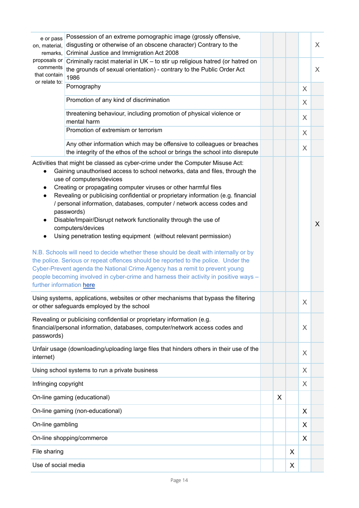| e or pass<br>on, material,<br>remarks.                                                                                                                                                                                                                                                                                                                                                                                                                                                                                                                                                                                                                                                                                                                                                                                                                                                                                                                                                                                                      | Possession of an extreme pornographic image (grossly offensive,<br>disgusting or otherwise of an obscene character) Contrary to the<br>Criminal Justice and Immigration Act 2008 |  |   |   |          | X |  |  |
|---------------------------------------------------------------------------------------------------------------------------------------------------------------------------------------------------------------------------------------------------------------------------------------------------------------------------------------------------------------------------------------------------------------------------------------------------------------------------------------------------------------------------------------------------------------------------------------------------------------------------------------------------------------------------------------------------------------------------------------------------------------------------------------------------------------------------------------------------------------------------------------------------------------------------------------------------------------------------------------------------------------------------------------------|----------------------------------------------------------------------------------------------------------------------------------------------------------------------------------|--|---|---|----------|---|--|--|
| proposals or<br>comments<br>that contain                                                                                                                                                                                                                                                                                                                                                                                                                                                                                                                                                                                                                                                                                                                                                                                                                                                                                                                                                                                                    |                                                                                                                                                                                  |  |   |   | $\times$ |   |  |  |
|                                                                                                                                                                                                                                                                                                                                                                                                                                                                                                                                                                                                                                                                                                                                                                                                                                                                                                                                                                                                                                             | or relate to:<br>Pornography                                                                                                                                                     |  |   |   |          |   |  |  |
|                                                                                                                                                                                                                                                                                                                                                                                                                                                                                                                                                                                                                                                                                                                                                                                                                                                                                                                                                                                                                                             | Promotion of any kind of discrimination                                                                                                                                          |  |   |   | $\chi$   |   |  |  |
|                                                                                                                                                                                                                                                                                                                                                                                                                                                                                                                                                                                                                                                                                                                                                                                                                                                                                                                                                                                                                                             | threatening behaviour, including promotion of physical violence or<br>mental harm                                                                                                |  |   |   | X        |   |  |  |
|                                                                                                                                                                                                                                                                                                                                                                                                                                                                                                                                                                                                                                                                                                                                                                                                                                                                                                                                                                                                                                             | Promotion of extremism or terrorism                                                                                                                                              |  |   |   | $\chi$   |   |  |  |
|                                                                                                                                                                                                                                                                                                                                                                                                                                                                                                                                                                                                                                                                                                                                                                                                                                                                                                                                                                                                                                             | Any other information which may be offensive to colleagues or breaches<br>the integrity of the ethos of the school or brings the school into disrepute                           |  |   |   | X        |   |  |  |
| Activities that might be classed as cyber-crime under the Computer Misuse Act:<br>Gaining unauthorised access to school networks, data and files, through the<br>use of computers/devices<br>Creating or propagating computer viruses or other harmful files<br>$\bullet$<br>Revealing or publicising confidential or proprietary information (e.g. financial<br>$\bullet$<br>/ personal information, databases, computer / network access codes and<br>passwords)<br>Disable/Impair/Disrupt network functionality through the use of<br>$\bullet$<br>computers/devices<br>Using penetration testing equipment (without relevant permission)<br>$\bullet$<br>N.B. Schools will need to decide whether these should be dealt with internally or by<br>the police. Serious or repeat offences should be reported to the police. Under the<br>Cyber-Prevent agenda the National Crime Agency has a remit to prevent young<br>people becoming involved in cyber-crime and harness their activity in positive ways -<br>further information here |                                                                                                                                                                                  |  |   |   | X        |   |  |  |
|                                                                                                                                                                                                                                                                                                                                                                                                                                                                                                                                                                                                                                                                                                                                                                                                                                                                                                                                                                                                                                             | Using systems, applications, websites or other mechanisms that bypass the filtering<br>or other safeguards employed by the school                                                |  |   |   | X        |   |  |  |
| passwords)                                                                                                                                                                                                                                                                                                                                                                                                                                                                                                                                                                                                                                                                                                                                                                                                                                                                                                                                                                                                                                  | Revealing or publicising confidential or proprietary information (e.g.<br>financial/personal information, databases, computer/network access codes and                           |  |   |   | X        |   |  |  |
| internet)                                                                                                                                                                                                                                                                                                                                                                                                                                                                                                                                                                                                                                                                                                                                                                                                                                                                                                                                                                                                                                   | Unfair usage (downloading/uploading large files that hinders others in their use of the                                                                                          |  |   |   | X        |   |  |  |
|                                                                                                                                                                                                                                                                                                                                                                                                                                                                                                                                                                                                                                                                                                                                                                                                                                                                                                                                                                                                                                             | Using school systems to run a private business                                                                                                                                   |  |   |   | X        |   |  |  |
| Infringing copyright                                                                                                                                                                                                                                                                                                                                                                                                                                                                                                                                                                                                                                                                                                                                                                                                                                                                                                                                                                                                                        |                                                                                                                                                                                  |  |   |   | X        |   |  |  |
|                                                                                                                                                                                                                                                                                                                                                                                                                                                                                                                                                                                                                                                                                                                                                                                                                                                                                                                                                                                                                                             | On-line gaming (educational)                                                                                                                                                     |  | X |   |          |   |  |  |
|                                                                                                                                                                                                                                                                                                                                                                                                                                                                                                                                                                                                                                                                                                                                                                                                                                                                                                                                                                                                                                             | On-line gaming (non-educational)                                                                                                                                                 |  |   |   | X        |   |  |  |
| On-line gambling                                                                                                                                                                                                                                                                                                                                                                                                                                                                                                                                                                                                                                                                                                                                                                                                                                                                                                                                                                                                                            |                                                                                                                                                                                  |  |   |   | X.       |   |  |  |
|                                                                                                                                                                                                                                                                                                                                                                                                                                                                                                                                                                                                                                                                                                                                                                                                                                                                                                                                                                                                                                             | On-line shopping/commerce                                                                                                                                                        |  |   |   | X        |   |  |  |
| File sharing                                                                                                                                                                                                                                                                                                                                                                                                                                                                                                                                                                                                                                                                                                                                                                                                                                                                                                                                                                                                                                |                                                                                                                                                                                  |  |   | X |          |   |  |  |
| Use of social media                                                                                                                                                                                                                                                                                                                                                                                                                                                                                                                                                                                                                                                                                                                                                                                                                                                                                                                                                                                                                         |                                                                                                                                                                                  |  |   | X |          |   |  |  |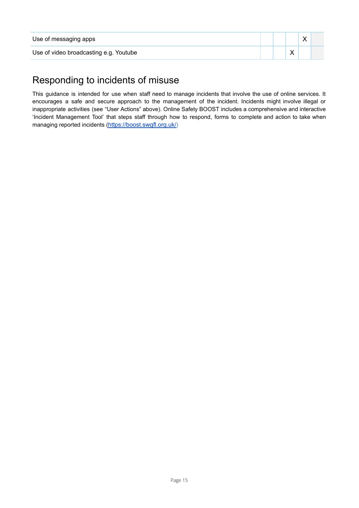| Use of messaging apps                  |  | $\lambda$ |  |
|----------------------------------------|--|-----------|--|
| Use of video broadcasting e.g. Youtube |  |           |  |

## <span id="page-15-0"></span>Responding to incidents of misuse

This guidance is intended for use when staff need to manage incidents that involve the use of online services. It encourages a safe and secure approach to the management of the incident. Incidents might involve illegal or inappropriate activities (see "User Actions" above). Online Safety BOOST includes a comprehensive and interactive 'Incident Management Tool' that steps staff through how to respond, forms to complete and action to take when managing reported incidents (<https://boost.swgfl.org.uk/>)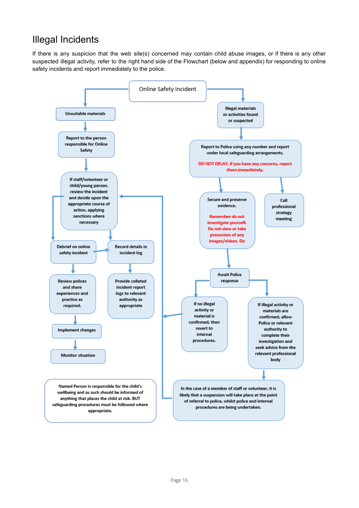## <span id="page-16-0"></span>Illegal Incidents

If there is any suspicion that the web site(s) concerned may contain child abuse images, or if there is any other suspected illegal activity, refer to the right hand side of the Flowchart (below and appendix) for responding to online safety incidents and report immediately to the police.

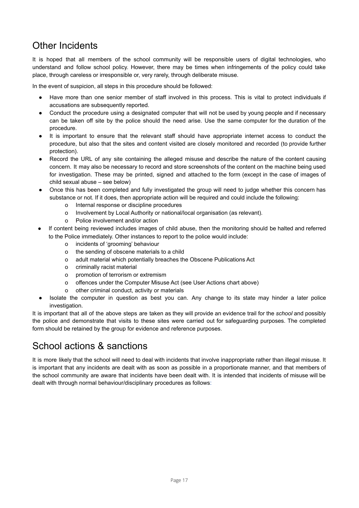## <span id="page-17-0"></span>Other Incidents

It is hoped that all members of the school community will be responsible users of digital technologies, who understand and follow school policy. However, there may be times when infringements of the policy could take place, through careless or irresponsible or, very rarely, through deliberate misuse.

In the event of suspicion, all steps in this procedure should be followed:

- Have more than one senior member of staff involved in this process. This is vital to protect individuals if accusations are subsequently reported.
- Conduct the procedure using a designated computer that will not be used by young people and if necessary can be taken off site by the police should the need arise. Use the same computer for the duration of the procedure.
- It is important to ensure that the relevant staff should have appropriate internet access to conduct the procedure, but also that the sites and content visited are closely monitored and recorded (to provide further protection).
- Record the URL of any site containing the alleged misuse and describe the nature of the content causing concern. It may also be necessary to record and store screenshots of the content on the machine being used for investigation. These may be printed, signed and attached to the form (except in the case of images of child sexual abuse – see below)
- Once this has been completed and fully investigated the group will need to judge whether this concern has substance or not. If it does, then appropriate action will be required and could include the following:
	- o Internal response or discipline procedures
	- o Involvement by Local Authority or national/local organisation (as relevant).
	- o Police involvement and/or action
- If content being reviewed includes images of child abuse, then the monitoring should be halted and referred to the Police immediately. Other instances to report to the police would include:
	- o incidents of 'grooming' behaviour
	- o the sending of obscene materials to a child
	- o adult material which potentially breaches the Obscene Publications Act
	- o criminally racist material
	- o promotion of terrorism or extremism
	- o offences under the Computer Misuse Act (see User Actions chart above)
	- o other criminal conduct, activity or materials
- Isolate the computer in question as best you can. Any change to its state may hinder a later police investigation.

It is important that all of the above steps are taken as they will provide an evidence trail for the *school* and possibly the police and demonstrate that visits to these sites were carried out for safeguarding purposes. The completed form should be retained by the group for evidence and reference purposes.

## <span id="page-17-1"></span>School actions & sanctions

It is more likely that the school will need to deal with incidents that involve inappropriate rather than illegal misuse. It is important that any incidents are dealt with as soon as possible in a proportionate manner, and that members of the school community are aware that incidents have been dealt with. It is intended that incidents of misuse will be dealt with through normal behaviour/disciplinary procedures as follows: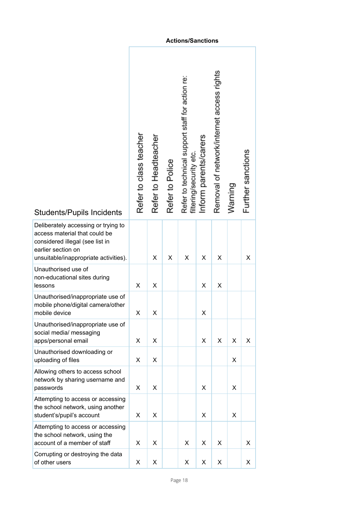|                                                                                                                                                                        |                        |                      |                 | <b>Actions/Sanctions</b>                                                   |                       |                                           |         |                   |
|------------------------------------------------------------------------------------------------------------------------------------------------------------------------|------------------------|----------------------|-----------------|----------------------------------------------------------------------------|-----------------------|-------------------------------------------|---------|-------------------|
| <b>Students/Pupils Incidents</b>                                                                                                                                       | Refer to class teacher | Refer to Headteacher | Refer to Police | Refer to technical support staff for action re:<br>filtering/security etc. | Inform parents/carers | Removal of network/internet access rights | Warning | Further sanctions |
| Deliberately accessing or trying to<br>access material that could be<br>considered illegal (see list in<br>earlier section on<br>unsuitable/inappropriate activities). |                        | X                    | X               | X                                                                          | X                     | X                                         |         | X                 |
| Unauthorised use of<br>non-educational sites during<br>lessons                                                                                                         | X                      | X                    |                 |                                                                            | X                     | X                                         |         |                   |
| Unauthorised/inappropriate use of<br>mobile phone/digital camera/other<br>mobile device                                                                                | х                      | Х                    |                 |                                                                            | х                     |                                           |         |                   |
| Unauthorised/inappropriate use of<br>social media/ messaging<br>apps/personal email                                                                                    | Х                      | X                    |                 |                                                                            | X                     | X                                         | X       | Χ                 |
| Unauthorised downloading or<br>uploading of files                                                                                                                      | X                      | X                    |                 |                                                                            |                       |                                           | X       |                   |
| Allowing others to access school<br>network by sharing username and<br>passwords                                                                                       | X                      | Х                    |                 |                                                                            | X                     |                                           | X       |                   |
| Attempting to access or accessing<br>the school network, using another<br>student's/pupil's account                                                                    | Х                      | X                    |                 |                                                                            | X                     |                                           | X       |                   |
| Attempting to access or accessing<br>the school network, using the<br>account of a member of staff                                                                     | X                      | Х                    |                 | Χ                                                                          | Χ                     | X                                         |         | X                 |
| Corrupting or destroying the data<br>of other users                                                                                                                    | X                      | X                    |                 | х                                                                          | X                     | X                                         |         | X                 |

#### **Actions/Sanctions**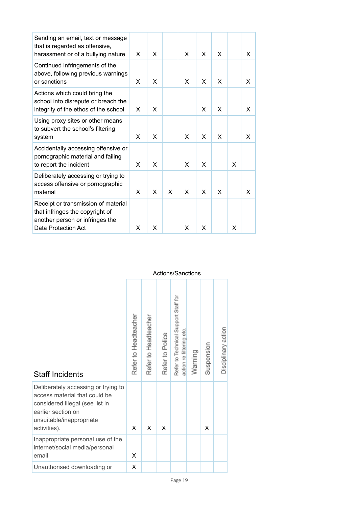| Sending an email, text or message<br>that is regarded as offensive,<br>harassment or of a bullying nature                        | X | X                         |   | X. | X | X |   | X. |
|----------------------------------------------------------------------------------------------------------------------------------|---|---------------------------|---|----|---|---|---|----|
| Continued infringements of the<br>above, following previous warnings<br>or sanctions                                             | X | $\times$                  |   | X  | X | X |   | X  |
| Actions which could bring the<br>school into disrepute or breach the<br>integrity of the ethos of the school                     | X | X                         |   |    | X | X |   | x  |
| Using proxy sites or other means<br>to subvert the school's filtering<br>system                                                  | X | X                         |   | X  | X | X |   | X  |
| Accidentally accessing offensive or<br>pornographic material and failing<br>to report the incident                               | X | $\boldsymbol{\mathsf{X}}$ |   | X  | X |   | x |    |
| Deliberately accessing or trying to<br>access offensive or pornographic<br>material                                              | X | X                         | X | X  | X | X |   | x  |
| Receipt or transmission of material<br>that infringes the copyright of<br>another person or infringes the<br>Data Protection Act | X | X                         |   | X  | X |   | x |    |

#### Actions/Sanctions

| <b>Staff Incidents</b>                                                                                                                                                    | Refer to Headteacher | Refer to Headteacher | Refer to Police | Refer to Technical Support Staff for<br>action re filtering etc | Warning | Suspension | Disciplinary action |
|---------------------------------------------------------------------------------------------------------------------------------------------------------------------------|----------------------|----------------------|-----------------|-----------------------------------------------------------------|---------|------------|---------------------|
| Deliberately accessing or trying to<br>access material that could be<br>considered illegal (see list in<br>earlier section on<br>unsuitable/inappropriate<br>activities). | X                    | X                    | X               |                                                                 |         | X          |                     |
| Inappropriate personal use of the<br>internet/social media/personal<br>email                                                                                              | X                    |                      |                 |                                                                 |         |            |                     |
| Unauthorised downloading or                                                                                                                                               | X                    |                      |                 |                                                                 |         |            |                     |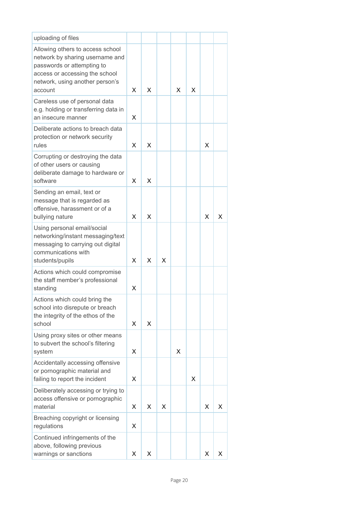| uploading of files                                                                                                                                                                |   |   |   |   |   |   |   |
|-----------------------------------------------------------------------------------------------------------------------------------------------------------------------------------|---|---|---|---|---|---|---|
| Allowing others to access school<br>network by sharing username and<br>passwords or attempting to<br>access or accessing the school<br>network, using another person's<br>account | x | X |   | x | x |   |   |
| Careless use of personal data<br>e.g. holding or transferring data in<br>an insecure manner                                                                                       | x |   |   |   |   |   |   |
| Deliberate actions to breach data<br>protection or network security<br>rules                                                                                                      | x | X |   |   |   | X |   |
| Corrupting or destroying the data<br>of other users or causing<br>deliberate damage to hardware or<br>software                                                                    | x | X |   |   |   |   |   |
| Sending an email, text or<br>message that is regarded as<br>offensive, harassment or of a<br>bullying nature                                                                      | x | X |   |   |   | x | x |
| Using personal email/social<br>networking/instant messaging/text<br>messaging to carrying out digital<br>communications with<br>students/pupils                                   | x | X | X |   |   |   |   |
| Actions which could compromise<br>the staff member's professional<br>standing                                                                                                     | X |   |   |   |   |   |   |
| Actions which could bring the<br>school into disrepute or breach<br>the integrity of the ethos of the<br>school                                                                   | X | X |   |   |   |   |   |
| Using proxy sites or other means<br>to subvert the school's filtering<br>system                                                                                                   | X |   |   | X |   |   |   |
| Accidentally accessing offensive<br>or pornographic material and<br>failing to report the incident                                                                                | X |   |   |   | X |   |   |
| Deliberately accessing or trying to<br>access offensive or pornographic<br>material                                                                                               | X | X | X |   |   | X | x |
| Breaching copyright or licensing<br>regulations                                                                                                                                   | X |   |   |   |   |   |   |
| Continued infringements of the<br>above, following previous<br>warnings or sanctions                                                                                              | X | Х |   |   |   | х | X |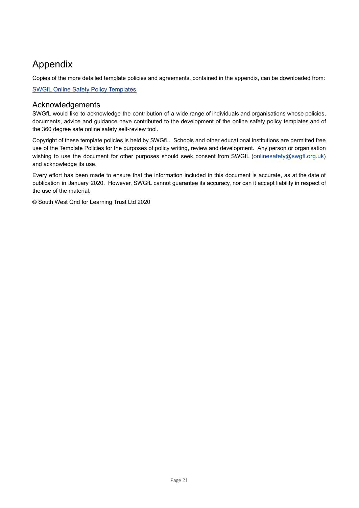## <span id="page-21-0"></span>Appendix

Copies of the more detailed template policies and agreements, contained in the appendix, can be downloaded from:

SWGfL Online Safety Policy [Templates](https://swgfl.org.uk/products-services/online-safety/resources/online-safety-policy-templates/)

#### Acknowledgements

SWGfL would like to acknowledge the contribution of a wide range of individuals and organisations whose policies, documents, advice and guidance have contributed to the development of the online safety policy templates and of the 360 degree safe online safety self-review tool.

Copyright of these template policies is held by SWGfL. Schools and other educational institutions are permitted free use of the Template Policies for the purposes of policy writing, review and development. Any person or organisation wishing to use the document for other purposes should seek consent from SWGfL ([onlinesafety@swgfl.org.uk](mailto:onlinesafety@swgfl.org.uk)) and acknowledge its use.

Every effort has been made to ensure that the information included in this document is accurate, as at the date of publication in January 2020. However, SWGfL cannot guarantee its accuracy, nor can it accept liability in respect of the use of the material.

© South West Grid for Learning Trust Ltd 2020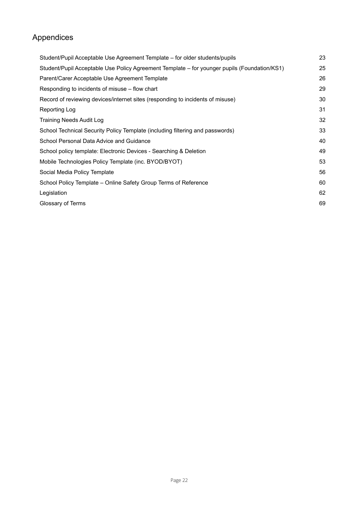## Appendices

| Student/Pupil Acceptable Use Agreement Template - for older students/pupils                  | 23 |
|----------------------------------------------------------------------------------------------|----|
| Student/Pupil Acceptable Use Policy Agreement Template – for younger pupils (Foundation/KS1) | 25 |
| Parent/Carer Acceptable Use Agreement Template                                               | 26 |
| Responding to incidents of misuse – flow chart                                               | 29 |
| Record of reviewing devices/internet sites (responding to incidents of misuse)               | 30 |
| Reporting Log                                                                                | 31 |
| <b>Training Needs Audit Log</b>                                                              | 32 |
| School Technical Security Policy Template (including filtering and passwords)                | 33 |
| School Personal Data Advice and Guidance                                                     | 40 |
| School policy template: Electronic Devices - Searching & Deletion                            | 49 |
| Mobile Technologies Policy Template (inc. BYOD/BYOT)                                         | 53 |
| Social Media Policy Template                                                                 | 56 |
| School Policy Template – Online Safety Group Terms of Reference                              | 60 |
| Legislation                                                                                  | 62 |
| Glossary of Terms                                                                            | 69 |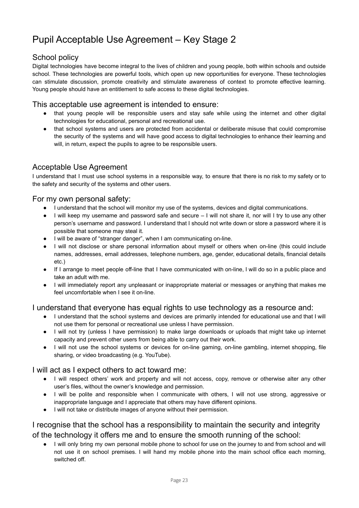## <span id="page-23-0"></span>Pupil Acceptable Use Agreement – Key Stage 2

## School policy

Digital technologies have become integral to the lives of children and young people, both within schools and outside school. These technologies are powerful tools, which open up new opportunities for everyone. These technologies can stimulate discussion, promote creativity and stimulate awareness of context to promote effective learning. Young people should have an entitlement to safe access to these digital technologies.

#### This acceptable use agreement is intended to ensure:

- that young people will be responsible users and stay safe while using the internet and other digital technologies for educational, personal and recreational use.
- that school systems and users are protected from accidental or deliberate misuse that could compromise the security of the systems and will have good access to digital technologies to enhance their learning and will, in return, expect the pupils to agree to be responsible users.

### Acceptable Use Agreement

I understand that I must use school systems in a responsible way, to ensure that there is no risk to my safety or to the safety and security of the systems and other users.

#### For my own personal safety:

- I understand that the school will monitor my use of the systems, devices and digital communications.
- I will keep my username and password safe and secure I will not share it, nor will I try to use any other person's username and password. I understand that I should not write down or store a password where it is possible that someone may steal it.
- I will be aware of "stranger danger", when I am communicating on-line.
- I will not disclose or share personal information about myself or others when on-line (this could include names, addresses, email addresses, telephone numbers, age, gender, educational details, financial details etc.)
- If I arrange to meet people off-line that I have communicated with on-line, I will do so in a public place and take an adult with me.
- I will immediately report any unpleasant or inappropriate material or messages or anything that makes me feel uncomfortable when I see it on-line.

#### I understand that everyone has equal rights to use technology as a resource and:

- I understand that the school systems and devices are primarily intended for educational use and that I will not use them for personal or recreational use unless I have permission.
- I will not try (unless I have permission) to make large downloads or uploads that might take up internet capacity and prevent other users from being able to carry out their work.
- I will not use the school systems or devices for on-line gaming, on-line gambling, internet shopping, file sharing, or video broadcasting (e.g. YouTube).

#### I will act as I expect others to act toward me:

- I will respect others' work and property and will not access, copy, remove or otherwise alter any other user's files, without the owner's knowledge and permission.
- I will be polite and responsible when I communicate with others, I will not use strong, aggressive or inappropriate language and I appreciate that others may have different opinions.
- I will not take or distribute images of anyone without their permission.

## I recognise that the school has a responsibility to maintain the security and integrity of the technology it offers me and to ensure the smooth running of the school:

● I will only bring my own personal mobile phone to school for use on the journey to and from school and will not use it on school premises. I will hand my mobile phone into the main school office each morning, switched off.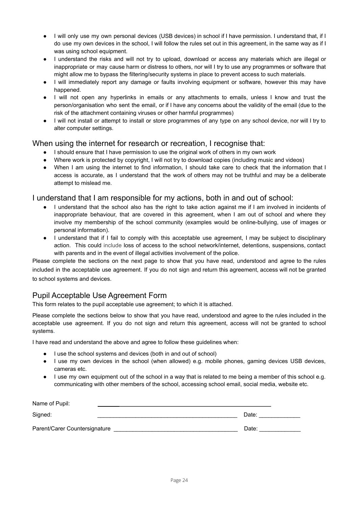- I will only use my own personal devices (USB devices) in school if I have permission. I understand that, if I do use my own devices in the school, I will follow the rules set out in this agreement, in the same way as if I was using school equipment.
- I understand the risks and will not try to upload, download or access any materials which are illegal or inappropriate or may cause harm or distress to others, nor will I try to use any programmes or software that might allow me to bypass the filtering/security systems in place to prevent access to such materials.
- I will immediately report any damage or faults involving equipment or software, however this may have happened.
- I will not open any hyperlinks in emails or any attachments to emails, unless I know and trust the person/organisation who sent the email, or if I have any concerns about the validity of the email (due to the risk of the attachment containing viruses or other harmful programmes)
- I will not install or attempt to install or store programmes of any type on any school device, nor will I try to alter computer settings.

#### When using the internet for research or recreation, I recognise that:

- I should ensure that I have permission to use the original work of others in my own work
- Where work is protected by copyright, I will not try to download copies (including music and videos)
- When I am using the internet to find information, I should take care to check that the information that I access is accurate, as I understand that the work of others may not be truthful and may be a deliberate attempt to mislead me.

#### I understand that I am responsible for my actions, both in and out of school:

- I understand that the school also has the right to take action against me if I am involved in incidents of inappropriate behaviour, that are covered in this agreement, when I am out of school and where they involve my membership of the school community (examples would be online-bullying, use of images or personal information).
- I understand that if I fail to comply with this acceptable use agreement, I may be subject to disciplinary action. This could include loss of access to the school network/internet, detentions, suspensions, contact with parents and in the event of illegal activities involvement of the police.

Please complete the sections on the next page to show that you have read, understood and agree to the rules included in the acceptable use agreement. If you do not sign and return this agreement, access will not be granted to school systems and devices.

#### Pupil Acceptable Use Agreement Form

This form relates to the pupil acceptable use agreement; to which it is attached.

Please complete the sections below to show that you have read, understood and agree to the rules included in the acceptable use agreement. If you do not sign and return this agreement, access will not be granted to school systems.

I have read and understand the above and agree to follow these guidelines when:

- I use the school systems and devices (both in and out of school)
- I use my own devices in the school (when allowed) e.g. mobile phones, gaming devices USB devices, cameras etc.
- I use my own equipment out of the school in a way that is related to me being a member of this school e.g. communicating with other members of the school, accessing school email, social media, website etc.

| Name of Pupil:                |       |
|-------------------------------|-------|
| Signed:                       | Date: |
| Parent/Carer Countersignature | Date: |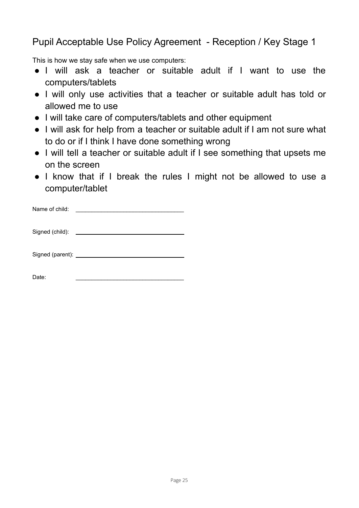<span id="page-25-0"></span>Pupil Acceptable Use Policy Agreement - Reception / Key Stage 1

This is how we stay safe when we use computers:

- I will ask a teacher or suitable adult if I want to use the computers/tablets
- I will only use activities that a teacher or suitable adult has told or allowed me to use
- I will take care of computers/tablets and other equipment
- I will ask for help from a teacher or suitable adult if I am not sure what to do or if I think I have done something wrong
- I will tell a teacher or suitable adult if I see something that upsets me on the screen
- I know that if I break the rules I might not be allowed to use a computer/tablet

| Name of child:   |  |
|------------------|--|
| Signed (child):  |  |
| Signed (parent): |  |

Date: \_\_\_\_\_\_\_\_\_\_\_\_\_\_\_\_\_\_\_\_\_\_\_\_\_\_\_\_\_\_\_\_\_\_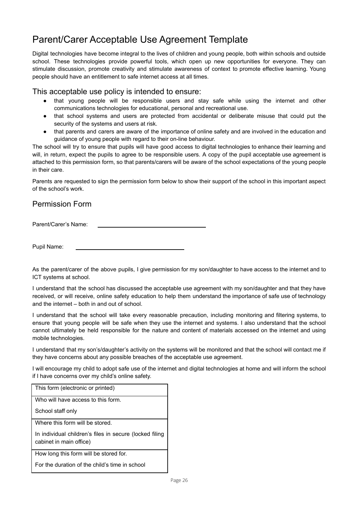## <span id="page-26-0"></span>Parent/Carer Acceptable Use Agreement Template

Digital technologies have become integral to the lives of children and young people, both within schools and outside school. These technologies provide powerful tools, which open up new opportunities for everyone. They can stimulate discussion, promote creativity and stimulate awareness of context to promote effective learning. Young people should have an entitlement to safe internet access at all times.

#### This acceptable use policy is intended to ensure:

- that young people will be responsible users and stay safe while using the internet and other communications technologies for educational, personal and recreational use.
- that school systems and users are protected from accidental or deliberate misuse that could put the security of the systems and users at risk.
- that parents and carers are aware of the importance of online safety and are involved in the education and guidance of young people with regard to their on-line behaviour.

The school will try to ensure that pupils will have good access to digital technologies to enhance their learning and will, in return, expect the pupils to agree to be responsible users. A copy of the pupil acceptable use agreement is attached to this permission form, so that parents/carers will be aware of the school expectations of the young people in their care.

Parents are requested to sign the permission form below to show their support of the school in this important aspect of the school's work.

## Permission Form

Parent/Carer's Name:

Pupil Name:

As the parent/carer of the above pupils, I give permission for my son/daughter to have access to the internet and to ICT systems at school.

I understand that the school has discussed the acceptable use agreement with my son/daughter and that they have received, or will receive, online safety education to help them understand the importance of safe use of technology and the internet – both in and out of school.

I understand that the school will take every reasonable precaution, including monitoring and filtering systems, to ensure that young people will be safe when they use the internet and systems. I also understand that the school cannot ultimately be held responsible for the nature and content of materials accessed on the internet and using mobile technologies.

I understand that my son's/daughter's activity on the systems will be monitored and that the school will contact me if they have concerns about any possible breaches of the acceptable use agreement.

I will encourage my child to adopt safe use of the internet and digital technologies at home and will inform the school if I have concerns over my child's online safety.

| This form (electronic or printed)                                                  |
|------------------------------------------------------------------------------------|
| Who will have access to this form.                                                 |
| School staff only                                                                  |
| Where this form will be stored.                                                    |
| In individual children's files in secure (locked filing<br>cabinet in main office) |
| How long this form will be stored for.                                             |
| For the duration of the child's time in school                                     |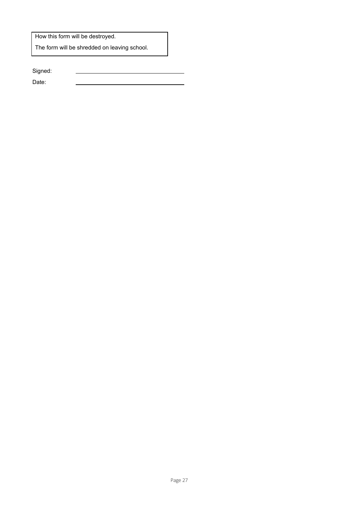How this form will be destroyed.

The form will be shredded on leaving school.

Signed:

Date: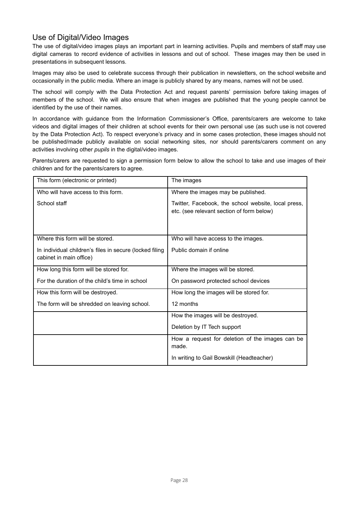## Use of Digital/Video Images

The use of digital/video images plays an important part in learning activities. Pupils and members of staff may use digital cameras to record evidence of activities in lessons and out of school. These images may then be used in presentations in subsequent lessons.

Images may also be used to celebrate success through their publication in newsletters, on the school website and occasionally in the public media. Where an image is publicly shared by any means, names will not be used.

The school will comply with the Data Protection Act and request parents' permission before taking images of members of the school. We will also ensure that when images are published that the young people cannot be identified by the use of their names.

In accordance with guidance from the Information Commissioner's Office, parents/carers are welcome to take videos and digital images of their children at school events for their own personal use (as such use is not covered by the Data Protection Act). To respect everyone's privacy and in some cases protection, these images should not be published/made publicly available on social networking sites, nor should parents/carers comment on any activities involving other *pupils* in the digital/video images.

Parents/carers are requested to sign a permission form below to allow the school to take and use images of their children and for the parents/carers to agree.

| This form (electronic or printed)                                                  | The images                                                                                       |
|------------------------------------------------------------------------------------|--------------------------------------------------------------------------------------------------|
| Who will have access to this form.                                                 | Where the images may be published.                                                               |
| School staff                                                                       | Twitter, Facebook, the school website, local press,<br>etc. (see relevant section of form below) |
| Where this form will be stored.                                                    | Who will have access to the images.                                                              |
| In individual children's files in secure (locked filing<br>cabinet in main office) | Public domain if online                                                                          |
| How long this form will be stored for.                                             | Where the images will be stored.                                                                 |
| For the duration of the child's time in school                                     | On password protected school devices                                                             |
| How this form will be destroyed.                                                   | How long the images will be stored for.                                                          |
| The form will be shredded on leaving school.                                       | 12 months                                                                                        |
|                                                                                    | How the images will be destroyed.                                                                |
|                                                                                    | Deletion by IT Tech support                                                                      |
|                                                                                    | How a request for deletion of the images can be<br>made.                                         |
|                                                                                    | In writing to Gail Bowskill (Headteacher)                                                        |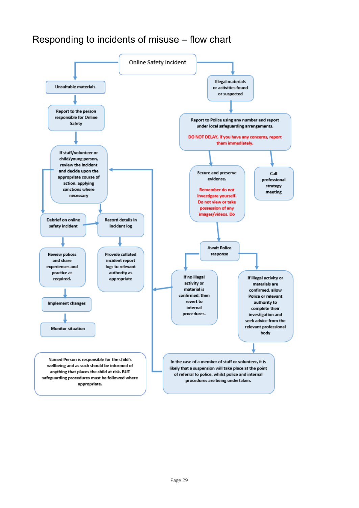## <span id="page-29-0"></span>Responding to incidents of misuse – flow chart

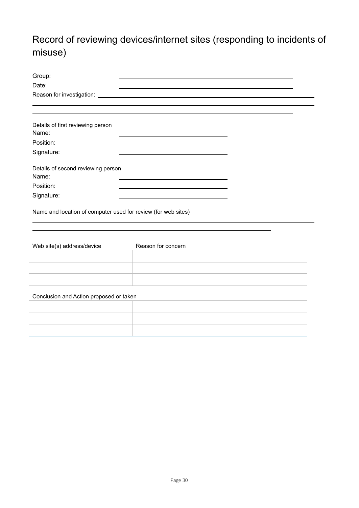## <span id="page-30-0"></span>Record of reviewing devices/internet sites (responding to incidents of misuse)

| Group:                                                        |                    |  |
|---------------------------------------------------------------|--------------------|--|
| Date:                                                         |                    |  |
|                                                               |                    |  |
|                                                               |                    |  |
|                                                               |                    |  |
| Details of first reviewing person<br>Name:                    |                    |  |
| Position:                                                     |                    |  |
| Signature:                                                    |                    |  |
| Details of second reviewing person<br>Name:                   |                    |  |
| Position:                                                     |                    |  |
| Signature:                                                    |                    |  |
| Name and location of computer used for review (for web sites) |                    |  |
| Web site(s) address/device                                    | Reason for concern |  |
|                                                               |                    |  |
|                                                               |                    |  |
|                                                               |                    |  |
| Conclusion and Action proposed or taken                       |                    |  |
|                                                               |                    |  |
|                                                               |                    |  |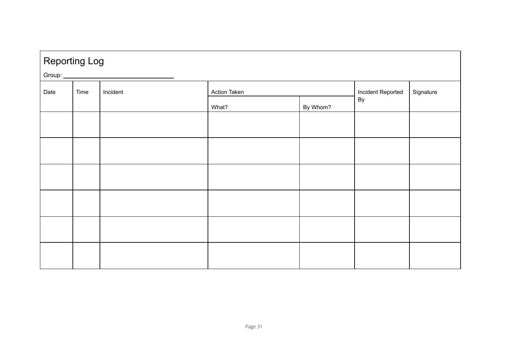<span id="page-31-0"></span>

|                          |  | Reporting Log<br>Group: |          |                   |           |  |
|--------------------------|--|-------------------------|----------|-------------------|-----------|--|
| Incident<br>Date<br>Time |  | Action Taken            |          | Incident Reported | Signature |  |
|                          |  | What?                   | By Whom? | By                |           |  |
|                          |  |                         |          |                   |           |  |
|                          |  |                         |          |                   |           |  |
|                          |  |                         |          |                   |           |  |
|                          |  |                         |          |                   |           |  |
|                          |  |                         |          |                   |           |  |
|                          |  |                         |          |                   |           |  |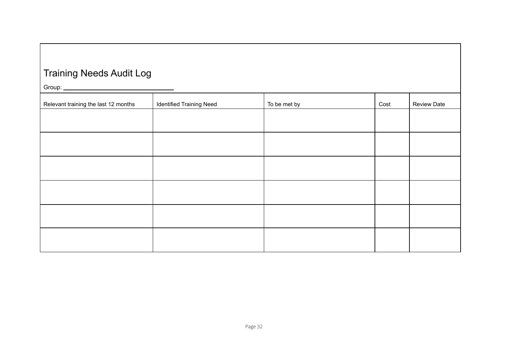## Training Needs Audit Log

Group:

<span id="page-32-0"></span>

| $\overline{\phantom{iiiiiiiiiiiiiii}}$ |                                 |              |      |                    |
|----------------------------------------|---------------------------------|--------------|------|--------------------|
| Relevant training the last 12 months   | <b>Identified Training Need</b> | To be met by | Cost | <b>Review Date</b> |
|                                        |                                 |              |      |                    |
|                                        |                                 |              |      |                    |
|                                        |                                 |              |      |                    |
|                                        |                                 |              |      |                    |
|                                        |                                 |              |      |                    |
|                                        |                                 |              |      |                    |
|                                        |                                 |              |      |                    |
|                                        |                                 |              |      |                    |
|                                        |                                 |              |      |                    |
|                                        |                                 |              |      |                    |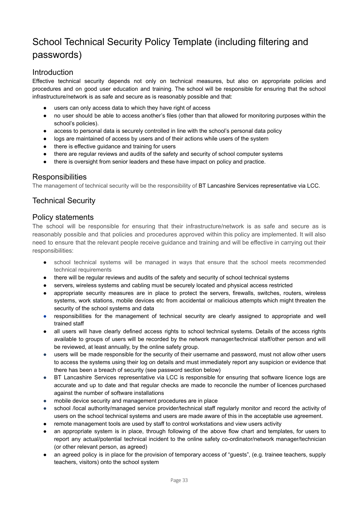## <span id="page-33-0"></span>School Technical Security Policy Template (including filtering and passwords)

### Introduction

Effective technical security depends not only on technical measures, but also on appropriate policies and procedures and on good user education and training. The school will be responsible for ensuring that the school infrastructure/network is as safe and secure as is reasonably possible and that:

- users can only access data to which they have right of access
- no user should be able to access another's files (other than that allowed for monitoring purposes within the school's policies).
- access to personal data is securely controlled in line with the school's personal data policy
- logs are maintained of access by users and of their actions while users of the system
- there is effective guidance and training for users
- there are regular reviews and audits of the safety and security of school computer systems
- there is oversight from senior leaders and these have impact on policy and practice.

## **Responsibilities**

The management of technical security will be the responsibility of BT Lancashire Services representative via LCC.

## Technical Security

#### Policy statements

The school will be responsible for ensuring that their infrastructure/network is as safe and secure as is reasonably possible and that policies and procedures approved within this policy are implemented. It will also need to ensure that the relevant people receive guidance and training and will be effective in carrying out their responsibilities:

- school technical systems will be managed in ways that ensure that the school meets recommended technical requirements
- there will be regular reviews and audits of the safety and security of school technical systems
- servers, wireless systems and cabling must be securely located and physical access restricted
- appropriate security measures are in place to protect the servers, firewalls, switches, routers, wireless systems, work stations, mobile devices etc from accidental or malicious attempts which might threaten the security of the school systems and data
- responsibilities for the management of technical security are clearly assigned to appropriate and well trained staff
- all users will have clearly defined access rights to school technical systems. Details of the access rights available to groups of users will be recorded by the network manager/technical staff/other person and will be reviewed, at least annually, by the online safety group.
- users will be made responsible for the security of their username and password, must not allow other users to access the systems using their log on details and must immediately report any suspicion or evidence that there has been a breach of security (see password section below)
- BT Lancashire Services representative via LCC is responsible for ensuring that software licence logs are accurate and up to date and that regular checks are made to reconcile the number of licences purchased against the number of software installations
- mobile device security and management procedures are in place
- school /local authority/managed service provider/technical staff regularly monitor and record the activity of users on the school technical systems and users are made aware of this in the acceptable use agreement.
- remote management tools are used by staff to control workstations and view users activity
- an appropriate system is in place, through following of the above flow chart and templates, for users to report any actual/potential technical incident to the online safety co-ordinator/network manager/technician (or other relevant person, as agreed)
- an agreed policy is in place for the provision of temporary access of "guests", (e.g. trainee teachers, supply teachers, visitors) onto the school system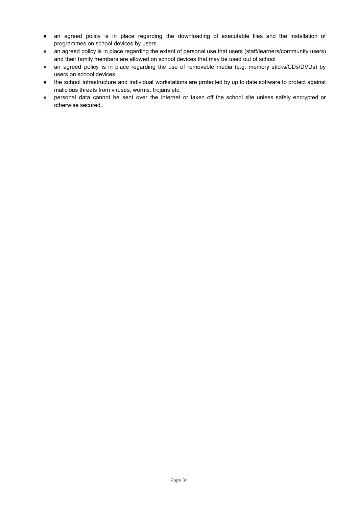- an agreed policy is in place regarding the downloading of executable files and the installation of programmes on school devices by users
- an agreed policy is in place regarding the extent of personal use that users (staff/learners/community users) and their family members are allowed on school devices that may be used out of school
- *●* an agreed policy is in place regarding the use of removable media (e.g. memory sticks/CDs/DVDs) by users on school devices
- the school infrastructure and individual workstations are protected by up to date software to protect against malicious threats from viruses, worms, trojans etc.
- *●* personal data cannot be sent over the internet or taken off the school site unless safely encrypted or otherwise secured.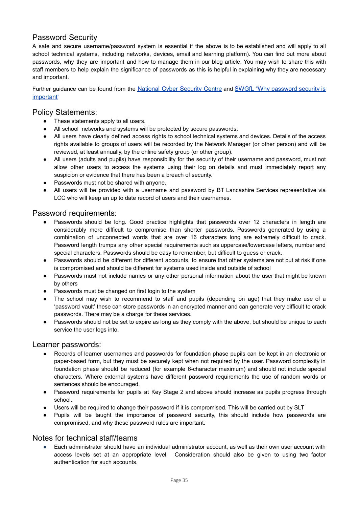## Password Security

A safe and secure username/password system is essential if the above is to be established and will apply to all school technical systems, including networks, devices, email and learning platform). You can find out more about passwords, why they are important and how to manage them in our blog article. You may wish to share this with staff members to help explain the significance of passwords as this is helpful in explaining why they are necessary and important.

Further guidance can be found from the [National](https://www.ncsc.gov.uk/collection/passwords) Cyber Security Centre and SWGfL "Why [password](https://swgfl.org.uk/resources/password-management-and-security-guide/) security is [important](https://swgfl.org.uk/resources/password-management-and-security-guide/)"

#### Policy Statements:

- These statements apply to all users.
- All school networks and systems will be protected by secure passwords.
- All users have clearly defined access rights to school technical systems and devices. Details of the access rights available to groups of users will be recorded by the Network Manager (or other person) and will be reviewed, at least annually, by the online safety group (or other group).
- All users (adults and pupils) have responsibility for the security of their username and password, must not allow other users to access the systems using their log on details and must immediately report any suspicion or evidence that there has been a breach of security.
- Passwords must not be shared with anyone.
- All users will be provided with a username and password by BT Lancashire Services representative via LCC who will keep an up to date record of users and their usernames.

#### Password requirements:

- Passwords should be long. Good practice highlights that passwords over 12 characters in length are considerably more difficult to compromise than shorter passwords. Passwords generated by using a combination of unconnected words that are over 16 characters long are extremely difficult to crack. Password length trumps any other special requirements such as uppercase/lowercase letters, number and special characters. Passwords should be easy to remember, but difficult to guess or crack.
- Passwords should be different for different accounts, to ensure that other systems are not put at risk if one is compromised and should be different for systems used inside and outside of school
- Passwords must not include names or any other personal information about the user that might be known by others
- Passwords must be changed on first login to the system
- The school may wish to recommend to staff and pupils (depending on age) that they make use of a 'password vault' these can store passwords in an encrypted manner and can generate very difficult to crack passwords. There may be a charge for these services.
- Passwords should not be set to expire as long as they comply with the above, but should be unique to each service the user logs into.

#### Learner passwords:

- Records of learner usernames and passwords for foundation phase pupils can be kept in an electronic or paper-based form, but they must be securely kept when not required by the user. Password complexity in foundation phase should be reduced (for example 6-character maximum) and should not include special characters. Where external systems have different password requirements the use of random words or sentences should be encouraged.
- Password requirements for pupils at Key Stage 2 and above should increase as pupils progress through school.
- Users will be required to change their password if it is compromised. This will be carried out by SLT
- Pupils will be taught the importance of password security, this should include how passwords are compromised, and why these password rules are important.

#### Notes for technical staff/teams

● Each administrator should have an individual administrator account, as well as their own user account with access levels set at an appropriate level. Consideration should also be given to using two factor authentication for such accounts.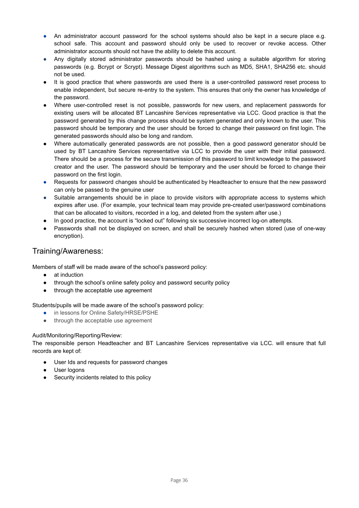- An administrator account password for the school systems should also be kept in a secure place e.g. school safe. This account and password should only be used to recover or revoke access. Other administrator accounts should not have the ability to delete this account.
- Any digitally stored administrator passwords should be hashed using a suitable algorithm for storing passwords (e.g. Bcrypt or Scrypt). Message Digest algorithms such as MD5, SHA1, SHA256 etc. should not be used.
- It is good practice that where passwords are used there is a user-controlled password reset process to enable independent, but secure re-entry to the system. This ensures that only the owner has knowledge of the password.
- Where user-controlled reset is not possible, passwords for new users, and replacement passwords for existing users will be allocated BT Lancashire Services representative via LCC. Good practice is that the password generated by this change process should be system generated and only known to the user. This password should be temporary and the user should be forced to change their password on first login. The generated passwords should also be long and random.
- Where automatically generated passwords are not possible, then a good password generator should be used by BT Lancashire Services representative via LCC to provide the user with their initial password. There should be a process for the secure transmission of this password to limit knowledge to the password creator and the user. The password should be temporary and the user should be forced to change their password on the first login.
- Requests for password changes should be authenticated by Headteacher to ensure that the new password can only be passed to the genuine user
- Suitable arrangements should be in place to provide visitors with appropriate access to systems which expires after use. (For example, your technical team may provide pre-created user/password combinations that can be allocated to visitors, recorded in a log, and deleted from the system after use.)
- In good practice, the account is "locked out" following six successive incorrect log-on attempts.
- Passwords shall not be displayed on screen, and shall be securely hashed when stored (use of one-way encryption).

## Training/Awareness:

Members of staff will be made aware of the school's password policy:

- at induction
- through the school's online safety policy and password security policy
- through the acceptable use agreement

Students/pupils will be made aware of the school's password policy:

- in lessons for Online Safety/HRSE/PSHE
- through the acceptable use agreement

#### Audit/Monitoring/Reporting/Review:

The responsible person Headteacher and BT Lancashire Services representative via LCC. will ensure that full records are kept of:

- User Ids and requests for password changes
- User logons
- Security incidents related to this policy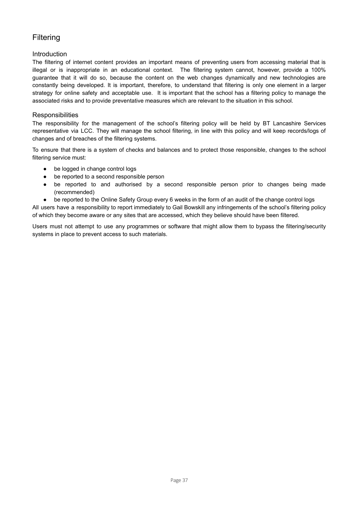## Filtering

#### Introduction

The filtering of internet content provides an important means of preventing users from accessing material that is illegal or is inappropriate in an educational context. The filtering system cannot, however, provide a 100% guarantee that it will do so, because the content on the web changes dynamically and new technologies are constantly being developed. It is important, therefore, to understand that filtering is only one element in a larger strategy for online safety and acceptable use. It is important that the school has a filtering policy to manage the associated risks and to provide preventative measures which are relevant to the situation in this school.

#### **Responsibilities**

The responsibility for the management of the school's filtering policy will be held by BT Lancashire Services representative via LCC. They will manage the school filtering, in line with this policy and will keep records/logs of changes and of breaches of the filtering systems.

To ensure that there is a system of checks and balances and to protect those responsible, changes to the school filtering service must:

- be logged in change control logs
- be reported to a second responsible person
- be reported to and authorised by a second responsible person prior to changes being made (recommended)
- be reported to the Online Safety Group every 6 weeks in the form of an audit of the change control logs

All users have a responsibility to report immediately to Gail Bowskill any infringements of the school's filtering policy of which they become aware or any sites that are accessed, which they believe should have been filtered.

Users must not attempt to use any programmes or software that might allow them to bypass the filtering/security systems in place to prevent access to such materials.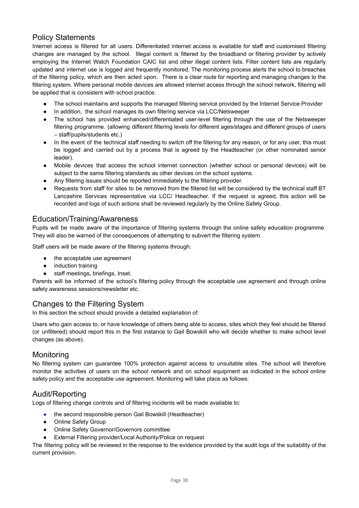## Policy Statements

Internet access is filtered for all users. Differentiated internet access is available for staff and customised filtering changes are managed by the school. Illegal content is filtered by the broadband or filtering provider by actively employing the Internet Watch Foundation CAIC list and other illegal content lists. Filter content lists are regularly updated and internet use is logged and frequently monitored. The monitoring process alerts the school to breaches of the filtering policy, which are then acted upon. There is a clear route for reporting and managing changes to the filtering system. Where personal mobile devices are allowed internet access through the school network, filtering will be applied that is consistent with school practice.

- The school maintains and supports the managed filtering service provided by the Internet Service Provider
- In addition, the school manages its own filtering service via LCC/Netsweeper
- The school has provided enhanced/differentiated user-level filtering through the use of the Netsweeper filtering programme. (allowing different filtering levels for different ages/stages and different groups of users – staff/pupils/students etc.)
- In the event of the technical staff needing to switch off the filtering for any reason, or for any user, this must be logged and carried out by a process that is agreed by the Headteacher (or other nominated senior leader).
- Mobile devices that access the school internet connection (whether school or personal devices) will be subject to the same filtering standards as other devices on the school systems.
- Any filtering issues should be reported immediately to the filtering provider.
- Requests from staff for sites to be removed from the filtered list will be considered by the technical staff BT Lancashire Services representative via LCC/ Headteacher. If the request is agreed, this action will be recorded and logs of such actions shall be reviewed regularly by the Online Safety Group.

#### Education/Training/Awareness

Pupils will be made aware of the importance of filtering systems through the online safety education programme. They will also be warned of the consequences of attempting to subvert the filtering system.

Staff users will be made aware of the filtering systems through:

- the acceptable use agreement
- induction training
- staff meetings, briefings, Inset.

Parents will be informed of the school's filtering policy through the acceptable use agreement and through online safety awareness sessions/newsletter etc.

## Changes to the Filtering System

In this section the school should provide a detailed explanation of:

Users who gain access to, or have knowledge of others being able to access, sites which they feel should be filtered (or unfiltered) should report this in the first instance to Gail Bowskill who will decide whether to make school level changes (as above).

#### **Monitoring**

No filtering system can guarantee 100% protection against access to unsuitable sites. The school will therefore monitor the activities of users on the school network and on school equipment as indicated in the school online safety policy and the acceptable use agreement. Monitoring will take place as follows:

#### Audit/Reporting

Logs of filtering change controls and of filtering incidents will be made available to:

- the second responsible person Gail Bowskill (Headteacher)
- Online Safety Group
- Online Safety Governor/Governors committee
- External Filtering provider/Local Authority/Police on request

The filtering policy will be reviewed in the response to the evidence provided by the audit logs of the suitability of the current provision.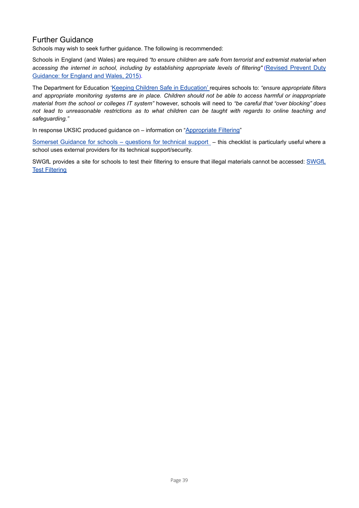## Further Guidance

Schools may wish to seek further guidance. The following is recommended:

Schools in England (and Wales) are required *"to ensure children are safe from terrorist and extremist material when accessing the internet in school, including by establishing appropriate levels of filtering"* ([Revised](https://www.gov.uk/government/uploads/system/uploads/attachment_data/file/445977/3799_Revised_Prevent_Duty_Guidance__England_Wales_V2-Interactive.pdf) Prevent Duty [Guidance:](https://www.gov.uk/government/uploads/system/uploads/attachment_data/file/445977/3799_Revised_Prevent_Duty_Guidance__England_Wales_V2-Interactive.pdf) for England and Wales, 2015).

The Department for Education 'Keeping Children Safe in [Education'](https://www.gov.uk/government/publications/keeping-children-safe-in-education--2) requires schools to: *"ensure appropriate filters* and appropriate monitoring systems are in place. Children should not be able to access harmful or inappropriate *material from the school or colleges IT system"* however, schools will need to *"be careful that "over blocking" does* not lead to unreasonable restrictions as to what children can be taught with regards to online teaching and *safeguarding."*

In response UKSIC produced guidance on - information on "[Appropriate](http://www.saferinternet.org.uk/advice-and-resources/teachers-and-professionals/appropriate-filtering-for-education-settings) Filtering"

Somerset Guidance for schools – [questions](https://www.somerset.org.uk/sites/edtech/eSafety/Leading/Questions%20for%20Technical%20Support%202018.pdf) for technical support – this checklist is particularly useful where a school uses external providers for its technical support/security.

[SWGfL](http://testfiltering.com/) provides a site for schools to test their filtering to ensure that illegal materials cannot be accessed: SWGfL Test [Filtering](http://testfiltering.com/)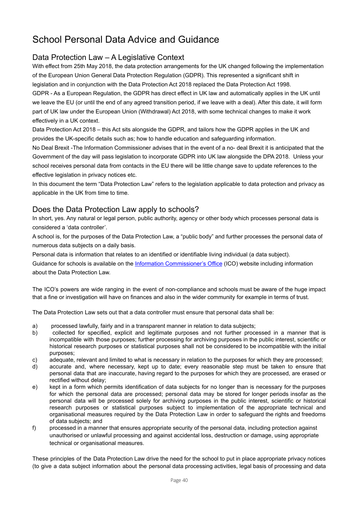## <span id="page-40-0"></span>School Personal Data Advice and Guidance

## Data Protection Law – A Legislative Context

With effect from 25th May 2018, the data protection arrangements for the UK changed following the implementation of the European Union General Data Protection Regulation (GDPR). This represented a significant shift in legislation and in conjunction with the Data Protection Act 2018 replaced the Data Protection Act 1998. GDPR - As a European Regulation, the GDPR has direct effect in UK law and automatically applies in the UK until we leave the EU (or until the end of any agreed transition period, if we leave with a deal). After this date, it will form part of UK law under the European Union (Withdrawal) Act 2018, with some technical changes to make it work effectively in a UK context.

Data Protection Act 2018 – this Act sits alongside the GDPR, and tailors how the GDPR applies in the UK and provides the UK-specific details such as; how to handle education and safeguarding information.

No Deal Brexit -The Information Commissioner advises that in the event of a no- deal Brexit it is anticipated that the Government of the day will pass legislation to incorporate GDPR into UK law alongside the DPA 2018. Unless your school receives personal data from contacts in the EU there will be little change save to update references to the effective legislation in privacy notices etc.

In this document the term "Data Protection Law" refers to the legislation applicable to data protection and privacy as applicable in the UK from time to time.

### Does the Data Protection Law apply to schools?

In short, yes. Any natural or legal person, public authority, agency or other body which processes personal data is considered a 'data controller'.

A school is, for the purposes of the Data Protection Law, a "public body" and further processes the personal data of numerous data subjects on a daily basis.

Personal data is information that relates to an identified or identifiable living individual (a data subject).

Guidance for schools is available on the Information [Commissioner's](https://ico.org.uk/for-organisations/education/) Office (ICO) website including information about the Data Protection Law.

The ICO's powers are wide ranging in the event of non-compliance and schools must be aware of the huge impact that a fine or investigation will have on finances and also in the wider community for example in terms of trust.

The Data Protection Law sets out that a data controller must ensure that personal data shall be:

- a) processed lawfully, fairly and in a transparent manner in relation to data subjects;
- b) collected for specified, explicit and legitimate purposes and not further processed in a manner that is incompatible with those purposes; further processing for archiving purposes in the public interest, scientific or historical research purposes or statistical purposes shall not be considered to be incompatible with the initial purposes;
- c) adequate, relevant and limited to what is necessary in relation to the purposes for which they are processed;
- d) accurate and, where necessary, kept up to date; every reasonable step must be taken to ensure that personal data that are inaccurate, having regard to the purposes for which they are processed, are erased or rectified without delay;
- e) kept in a form which permits identification of data subjects for no longer than is necessary for the purposes for which the personal data are processed; personal data may be stored for longer periods insofar as the personal data will be processed solely for archiving purposes in the public interest, scientific or historical research purposes or statistical purposes subject to implementation of the appropriate technical and organisational measures required by the Data Protection Law in order to safeguard the rights and freedoms of data subjects; and
- f) processed in a manner that ensures appropriate security of the personal data, including protection against unauthorised or unlawful processing and against accidental loss, destruction or damage, using appropriate technical or organisational measures.

These principles of the Data Protection Law drive the need for the school to put in place appropriate privacy notices (to give a data subject information about the personal data processing activities, legal basis of processing and data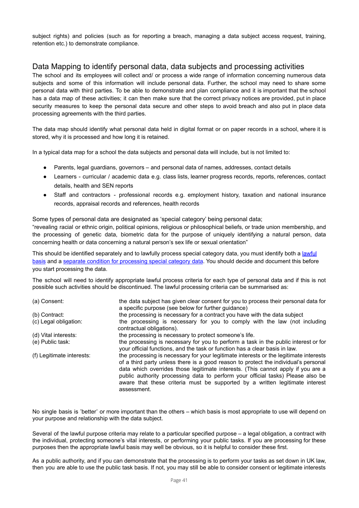subject rights) and policies (such as for reporting a breach, managing a data subject access request, training, retention etc.) to demonstrate compliance.

## Data Mapping to identify personal data, data subjects and processing activities

The school and its employees will collect and/ or process a wide range of information concerning numerous data subjects and some of this information will include personal data. Further, the school may need to share some personal data with third parties. To be able to demonstrate and plan compliance and it is important that the school has a data map of these activities; it can then make sure that the correct privacy notices are provided, put in place security measures to keep the personal data secure and other steps to avoid breach and also put in place data processing agreements with the third parties.

The data map should identify what personal data held in digital format or on paper records in a school, where it is stored, why it is processed and how long it is retained.

In a typical data map for a school the data subjects and personal data will include, but is not limited to:

- Parents, legal guardians, governors and personal data of names, addresses, contact details
- Learners curricular / academic data e.g. class lists, learner progress records, reports, references, contact details, health and SEN reports
- Staff and contractors professional records e.g. employment history, taxation and national insurance records, appraisal records and references, health records

Some types of personal data are designated as 'special category' being personal data;

"revealing racial or ethnic origin, political opinions, religious or philosophical beliefs, or trade union membership, and the processing of genetic data, biometric data for the purpose of uniquely identifying a natural person, data concerning health or data concerning a natural person's sex life or sexual orientation"

This should be identified separately and to lawfully process special category data, you must identify both a lawful basis and a separate condition for [processing](https://ico.org.uk/for-organisations/guide-to-the-general-data-protection-regulation-gdpr/lawful-basis-for-processing/special-category-data/) special category data. You should decide and document this before you start processing the data.

The school will need to identify appropriate lawful process criteria for each type of personal data and if this is not possible such activities should be discontinued. The lawful processing criteria can be summarised as:

| (a) Consent:              | the data subject has given clear consent for you to process their personal data for<br>a specific purpose (see below for further guidance)                                                                                                                                                                                                                                                                                                         |
|---------------------------|----------------------------------------------------------------------------------------------------------------------------------------------------------------------------------------------------------------------------------------------------------------------------------------------------------------------------------------------------------------------------------------------------------------------------------------------------|
| (b) Contract:             | the processing is necessary for a contract you have with the data subject                                                                                                                                                                                                                                                                                                                                                                          |
| (c) Legal obligation:     | the processing is necessary for you to comply with the law (not including<br>contractual obligations).                                                                                                                                                                                                                                                                                                                                             |
| (d) Vital interests:      | the processing is necessary to protect someone's life.                                                                                                                                                                                                                                                                                                                                                                                             |
| (e) Public task:          | the processing is necessary for you to perform a task in the public interest or for<br>your official functions, and the task or function has a clear basis in law.                                                                                                                                                                                                                                                                                 |
| (f) Legitimate interests: | the processing is necessary for your legitimate interests or the legitimate interests<br>of a third party unless there is a good reason to protect the individual's personal<br>data which overrides those legitimate interests. (This cannot apply if you are a<br>public authority processing data to perform your official tasks) Please also be<br>aware that these criteria must be supported by a written legitimate interest<br>assessment. |

No single basis is 'better' or more important than the others – which basis is most appropriate to use will depend on your purpose and relationship with the data subject.

Several of the lawful purpose criteria may relate to a particular specified purpose – a legal obligation, a contract with the individual, protecting someone's vital interests, or performing your public tasks. If you are processing for these purposes then the appropriate lawful basis may well be obvious, so it is helpful to consider these first.

As a public authority, and if you can demonstrate that the processing is to perform your tasks as set down in UK law, then you are able to use the public task basis. If not, you may still be able to consider consent or legitimate interests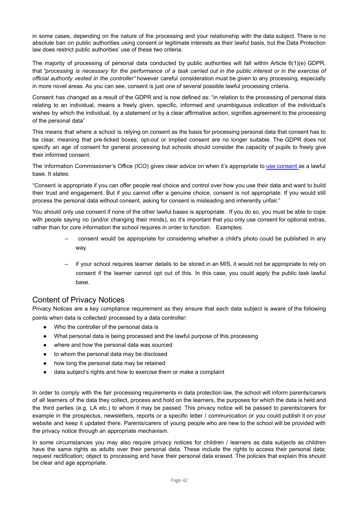in some cases, depending on the nature of the processing and your relationship with the data subject. There is no absolute ban on public authorities using consent or legitimate interests as their lawful basis, but the Data Protection law does restrict public authorities' use of these two criteria.

The majority of processing of personal data conducted by public authorities will fall within Article 6(1)(e) GDPR, that "processing is necessary for the performance of a task carried out in the public interest or in the exercise of *official authority vested in the controller"* however careful consideration must be given to any processing, especially in more novel areas. As you can see, consent is just one of several possible lawful processing criteria.

Consent has changed as a result of the GDPR and is now defined as: "in relation to the processing of personal data relating to an individual, means a freely given, specific, informed and unambiguous indication of the individual's wishes by which the individual, by a statement or by a clear affirmative action, signifies agreement to the processing of the personal data"

This means that where a school is relying on consent as the basis for processing personal data that consent has to be clear, meaning that pre-ticked boxes, opt-out or implied consent are no longer suitable. The GDPR does not specify an age of consent for general processing but schools should consider the capacity of pupils to freely give their informed consent.

The Information Commissioner's Office (ICO) gives clear advice on when it's appropriate to use [consent](https://ico.org.uk/for-organisations/guide-to-the-general-data-protection-regulation-gdpr/lawful-basis-for-processing/consent/) as a lawful base. It states:

"Consent is appropriate if you can offer people real choice and control over how you use their data and want to build their trust and engagement. But if you cannot offer a genuine choice, consent is not appropriate. If you would still process the personal data without consent, asking for consent is misleading and inherently unfair."

You should only use consent if none of the other lawful bases is appropriate. If you do so, you must be able to cope with people saying no (and/or changing their minds), so it's important that you only use consent for optional extras, rather than for core information the school requires in order to function. Examples;

- consent would be appropriate for considering whether a child's photo could be published in any way.
- if your school requires learner details to be stored in an MIS, it would not be appropriate to rely on consent if the learner cannot opt out of this. In this case, you could apply the public task lawful base.

## Content of Privacy Notices

Privacy Notices are a key compliance requirement as they ensure that each data subject is aware of the following points when data is collected/ processed by a data controller:

- Who the controller of the personal data is
- What personal data is being processed and the lawful purpose of this processing
- where and how the personal data was sourced
- to whom the personal data may be disclosed
- how long the personal data may be retained
- data subject's rights and how to exercise them or make a complaint

In order to comply with the fair processing requirements in data protection law, the school will inform parents/carers of all learners of the data they collect, process and hold on the learners, the purposes for which the data is held and the third parties (e.g. LA etc.) to whom it may be passed. This privacy notice will be passed to parents/carers for example in the prospectus, newsletters, reports or a specific letter / communication or you could publish it on your website and keep it updated there. Parents/carers of young people who are new to the school will be provided with the privacy notice through an appropriate mechanism.

In some circumstances you may also require privacy notices for children / learners as data subjects as children have the same rights as adults over their personal data. These include the rights to access their personal data; request rectification; object to processing and have their personal data erased. The policies that explain this should be clear and age appropriate.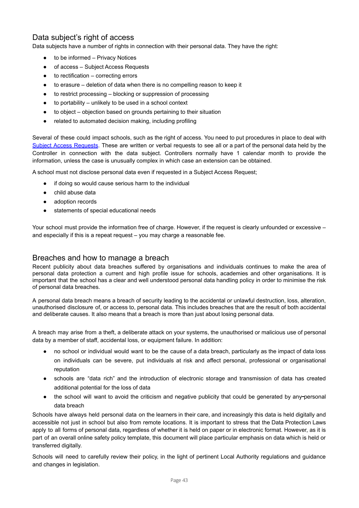## Data subject's right of access

Data subjects have a number of rights in connection with their personal data. They have the right:

- to be informed Privacy Notices
- of access Subject Access Requests
- $to$  rectification  $-$  correcting errors
- to erasure deletion of data when there is no compelling reason to keep it
- to restrict processing blocking or suppression of processing
- $\bullet$  to portability unlikely to be used in a school context
- to object objection based on grounds pertaining to their situation
- related to automated decision making, including profiling

Several of these could impact schools, such as the right of access. You need to put procedures in place to deal with Subject Access [Requests.](https://ico.org.uk/for-organisations/guide-to-the-general-data-protection-regulation-gdpr/individual-rights/right-of-access/) These are written or verbal requests to see all or a part of the personal data held by the Controller in connection with the data subject. Controllers normally have 1 calendar month to provide the information, unless the case is unusually complex in which case an extension can be obtained.

A school must not disclose personal data even if requested in a Subject Access Request;

- if doing so would cause serious harm to the individual
- child abuse data
- adoption records
- statements of special educational needs

Your school must provide the information free of charge. However, if the request is clearly unfounded or excessive – and especially if this is a repeat request – you may charge a reasonable fee.

#### Breaches and how to manage a breach

Recent publicity about data breaches suffered by organisations and individuals continues to make the area of personal data protection a current and high profile issue for schools, academies and other organisations. It is important that the school has a clear and well understood personal data handling policy in order to minimise the risk of personal data breaches.

A personal data breach means a breach of security leading to the accidental or unlawful destruction, loss, alteration, unauthorised disclosure of, or access to, personal data. This includes breaches that are the result of both accidental and deliberate causes. It also means that a breach is more than just about losing personal data.

A breach may arise from a theft, a deliberate attack on your systems, the unauthorised or malicious use of personal data by a member of staff, accidental loss, or equipment failure. In addition:

- no school or individual would want to be the cause of a data breach, particularly as the impact of data loss on individuals can be severe, put individuals at risk and affect personal, professional or organisational reputation
- schools are "data rich" and the introduction of electronic storage and transmission of data has created additional potential for the loss of data
- the school will want to avoid the criticism and negative publicity that could be generated by any-personal data breach

Schools have always held personal data on the learners in their care, and increasingly this data is held digitally and accessible not just in school but also from remote locations. It is important to stress that the Data Protection Laws apply to all forms of personal data, regardless of whether it is held on paper or in electronic format. However, as it is part of an overall online safety policy template, this document will place particular emphasis on data which is held or transferred digitally.

Schools will need to carefully review their policy, in the light of pertinent Local Authority regulations and guidance and changes in legislation.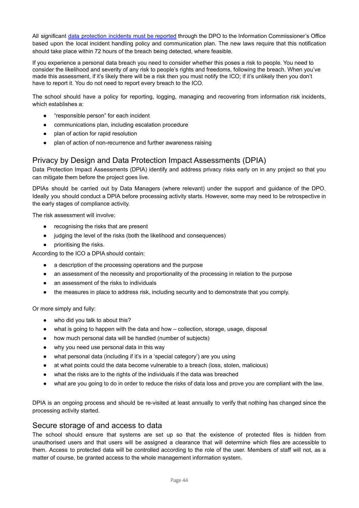All significant data [protection](https://ico.org.uk/for-organisations/guide-to-the-general-data-protection-regulation-gdpr/personal-data-breaches/) incidents must be reported through the DPO to the Information Commissioner's Office based upon the local incident handling policy and communication plan. The new laws require that this notification should take place within 72 hours of the breach being detected, where feasible.

If you experience a personal data breach you need to consider whether this poses a risk to people. You need to consider the likelihood and severity of any risk to people's rights and freedoms, following the breach. When you've made this assessment, if it's likely there will be a risk then you must notify the ICO; if it's unlikely then you don't have to report it. You do not need to report every breach to the ICO.

The school should have a policy for reporting, logging, managing and recovering from information risk incidents, which establishes a:

- "responsible person" for each incident
- communications plan, including escalation procedure
- plan of action for rapid resolution
- plan of action of non-recurrence and further awareness raising

### Privacy by Design and Data Protection Impact Assessments (DPIA)

Data Protection Impact Assessments (DPIA) identify and address privacy risks early on in any project so that you can mitigate them before the project goes live.

DPIAs should be carried out by Data Managers (where relevant) under the support and guidance of the DPO. Ideally you should conduct a DPIA before processing activity starts. However, some may need to be retrospective in the early stages of compliance activity.

The risk assessment will involve:

- recognising the risks that are present
- judging the level of the risks (both the likelihood and consequences)
- prioritising the risks.

According to the ICO a DPIA should contain:

- a description of the processing operations and the purpose
- an assessment of the necessity and proportionality of the processing in relation to the purpose
- an assessment of the risks to individuals
- the measures in place to address risk, including security and to demonstrate that you comply.

Or more simply and fully:

- who did you talk to about this?
- what is going to happen with the data and how collection, storage, usage, disposal
- how much personal data will be handled (number of subjects)
- why you need use personal data in this way
- what personal data (including if it's in a 'special category') are you using
- at what points could the data become vulnerable to a breach (loss, stolen, malicious)
- what the risks are to the rights of the individuals if the data was breached
- what are you going to do in order to reduce the risks of data loss and prove you are compliant with the law.

DPIA is an ongoing process and should be re-visited at least annually to verify that nothing has changed since the processing activity started.

#### Secure storage of and access to data

The school should ensure that systems are set up so that the existence of protected files is hidden from unauthorised users and that users will be assigned a clearance that will determine which files are accessible to them. Access to protected data will be controlled according to the role of the user. Members of staff will not, as a matter of course, be granted access to the whole management information system.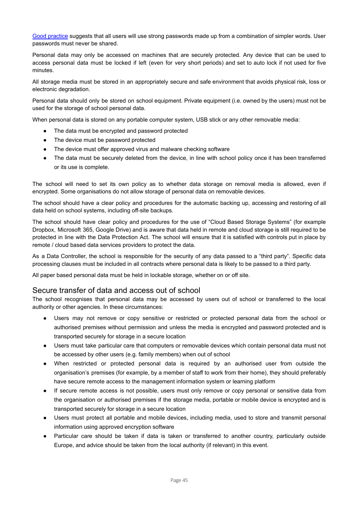Good [practice](https://www.ncsc.gov.uk/guidance/password-guidance-simplifying-your-approach) suggests that all users will use strong passwords made up from a combination of simpler words. User passwords must never be shared.

Personal data may only be accessed on machines that are securely protected. Any device that can be used to access personal data must be locked if left (even for very short periods) and set to auto lock if not used for five minutes.

All storage media must be stored in an appropriately secure and safe environment that avoids physical risk, loss or electronic degradation.

Personal data should only be stored on school equipment. Private equipment (i.e. owned by the users) must not be used for the storage of school personal data.

When personal data is stored on any portable computer system, USB stick or any other removable media:

- The data must be encrypted and password protected
- The device must be password protected
- The device must offer approved virus and malware checking software
- The data must be securely deleted from the device, in line with school policy once it has been transferred or its use is complete.

The school will need to set its own policy as to whether data storage on removal media is allowed, even if encrypted. Some organisations do not allow storage of personal data on removable devices.

The school should have a clear policy and procedures for the automatic backing up, accessing and restoring of all data held on school systems, including off-site backups.

The school should have clear policy and procedures for the use of "Cloud Based Storage Systems" (for example Dropbox, Microsoft 365, Google Drive) and is aware that data held in remote and cloud storage is still required to be protected in line with the Data Protection Act. The school will ensure that it is satisfied with controls put in place by remote / cloud based data services providers to protect the data.

As a Data Controller, the school is responsible for the security of any data passed to a "third party". Specific data processing clauses must be included in all contracts where personal data is likely to be passed to a third party.

All paper based personal data must be held in lockable storage, whether on or off site.

#### Secure transfer of data and access out of school

The school recognises that personal data may be accessed by users out of school or transferred to the local authority or other agencies. In these circumstances:

- Users may not remove or copy sensitive or restricted or protected personal data from the school or authorised premises without permission and unless the media is encrypted and password protected and is transported securely for storage in a secure location
- Users must take particular care that computers or removable devices which contain personal data must not be accessed by other users (e.g. family members) when out of school
- When restricted or protected personal data is required by an authorised user from outside the organisation's premises (for example, by a member of staff to work from their home), they should preferably have secure remote access to the management information system or learning platform
- If secure remote access is not possible, users must only remove or copy personal or sensitive data from the organisation or authorised premises if the storage media, portable or mobile device is encrypted and is transported securely for storage in a secure location
- Users must protect all portable and mobile devices, including media, used to store and transmit personal information using approved encryption software
- Particular care should be taken if data is taken or transferred to another country, particularly outside Europe, and advice should be taken from the local authority (if relevant) in this event.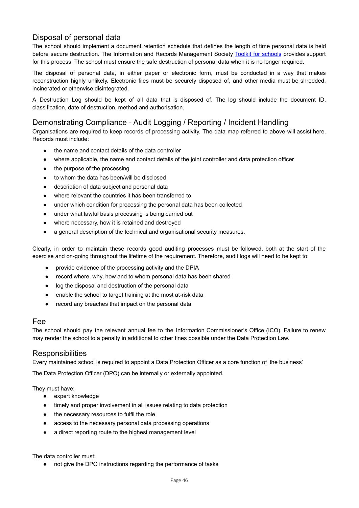## Disposal of personal data

The school should implement a document retention schedule that defines the length of time personal data is held before secure destruction. The Information and Records Management Society Toolkit for [schools](http://irms.org.uk/page/SchoolsToolkit) provides support for this process. The school must ensure the safe destruction of personal data when it is no longer required.

The disposal of personal data, in either paper or electronic form, must be conducted in a way that makes reconstruction highly unlikely. Electronic files must be securely disposed of, and other media must be shredded, incinerated or otherwise disintegrated.

A Destruction Log should be kept of all data that is disposed of. The log should include the document ID, classification, date of destruction, method and authorisation.

## Demonstrating Compliance - Audit Logging / Reporting / Incident Handling

Organisations are required to keep records of processing activity. The data map referred to above will assist here. Records must include:

- the name and contact details of the data controller
- where applicable, the name and contact details of the joint controller and data protection officer
- the purpose of the processing
- to whom the data has been/will be disclosed
- description of data subject and personal data
- where relevant the countries it has been transferred to
- under which condition for processing the personal data has been collected
- under what lawful basis processing is being carried out
- where necessary, how it is retained and destroyed
- a general description of the technical and organisational security measures.

Clearly, in order to maintain these records good auditing processes must be followed, both at the start of the exercise and on-going throughout the lifetime of the requirement. Therefore, audit logs will need to be kept to:

- provide evidence of the processing activity and the DPIA
- record where, why, how and to whom personal data has been shared
- log the disposal and destruction of the personal data
- enable the school to target training at the most at-risk data
- record any breaches that impact on the personal data

#### Fee

The school should pay the relevant annual fee to the Information Commissioner's Office (ICO). Failure to renew may render the school to a penalty in additional to other fines possible under the Data Protection Law.

#### **Responsibilities**

Every maintained school is required to appoint a Data Protection Officer as a core function of 'the business'

The Data Protection Officer (DPO) can be internally or externally appointed.

They must have:

- expert knowledge
- timely and proper involvement in all issues relating to data protection
- the necessary resources to fulfil the role
- access to the necessary personal data processing operations
- a direct reporting route to the highest management level

The data controller must:

● not give the DPO instructions regarding the performance of tasks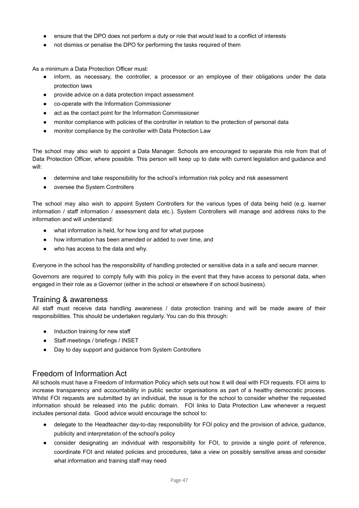- ensure that the DPO does not perform a duty or role that would lead to a conflict of interests
- not dismiss or penalise the DPO for performing the tasks required of them

As a minimum a Data Protection Officer must:

- inform, as necessary, the controller, a processor or an employee of their obligations under the data protection laws
- provide advice on a data protection impact assessment
- co-operate with the Information Commissioner
- act as the contact point for the Information Commissioner
- monitor compliance with policies of the controller in relation to the protection of personal data
- monitor compliance by the controller with Data Protection Law

The school may also wish to appoint a Data Manager. Schools are encouraged to separate this role from that of Data Protection Officer, where possible. This person will keep up to date with current legislation and guidance and will:

- determine and take responsibility for the school's information risk policy and risk assessment
- oversee the System Controllers

The school may also wish to appoint System Controllers for the various types of data being held (e.g. learner information / staff information / assessment data etc.). System Controllers will manage and address risks to the information and will understand:

- what information is held, for how long and for what purpose
- how information has been amended or added to over time, and
- who has access to the data and why.

Everyone in the school has the responsibility of handling protected or sensitive data in a safe and secure manner.

Governors are required to comply fully with this policy in the event that they have access to personal data, when engaged in their role as a Governor (either in the school or elsewhere if on school business).

#### Training & awareness

All staff must receive data handling awareness / data protection training and will be made aware of their responsibilities. This should be undertaken regularly. You can do this through:

- Induction training for new staff
- Staff meetings / briefings / INSET
- Day to day support and guidance from System Controllers

#### Freedom of Information Act

All schools must have a Freedom of Information Policy which sets out how it will deal with FOI requests. FOI aims to increase transparency and accountability in public sector organisations as part of a healthy democratic process. Whilst FOI requests are submitted by an individual, the issue is for the school to consider whether the requested information should be released into the public domain. FOI links to Data Protection Law whenever a request includes personal data. Good advice would encourage the school to:

- delegate to the Headteacher day-to-day responsibility for FOI policy and the provision of advice, guidance, publicity and interpretation of the school's policy
- consider designating an individual with responsibility for FOI, to provide a single point of reference, coordinate FOI and related policies and procedures, take a view on possibly sensitive areas and consider what information and training staff may need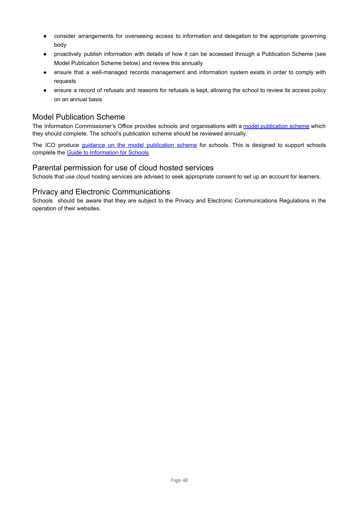- consider arrangements for overseeing access to information and delegation to the appropriate governing body
- proactively publish information with details of how it can be accessed through a Publication Scheme (see Model Publication Scheme below) and review this annually
- ensure that a well-managed records management and information system exists in order to comply with requests
- ensure a record of refusals and reasons for refusals is kept, allowing the school to review its access policy on an annual basis

### Model Publication Scheme

The Information Commissioner's Office provides schools and organisations with a model [publication](https://ico.org.uk/for-organisations/guide-to-freedom-of-information/publication-scheme/) scheme which they should complete. The school's publication scheme should be reviewed annually.

The ICO produce *guidance on the model [publication](https://ico.org.uk/media/for-organisations/documents/1242/how-to-complete-template-guide-to-info-for-schools.pdf) scheme* for schools. This is designed to support schools complete the Guide to [Information](https://ico.org.uk/media/for-organisations/documents/1278/schools_england_mps_final.doc) for Schools.

#### Parental permission for use of cloud hosted services

Schools that use cloud hosting services are advised to seek appropriate consent to set up an account for learners.

#### Privacy and Electronic Communications

Schools should be aware that they are subject to the Privacy and Electronic Communications Regulations in the operation of their websites.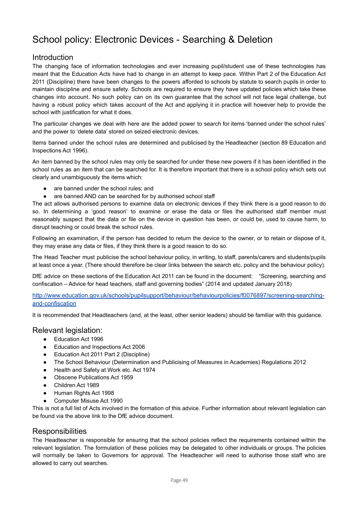## <span id="page-49-0"></span>School policy: Electronic Devices - Searching & Deletion

### Introduction

The changing face of information technologies and ever increasing pupil/student use of these technologies has meant that the Education Acts have had to change in an attempt to keep pace. Within Part 2 of the Education Act 2011 (Discipline) there have been changes to the powers afforded to schools by statute to search pupils in order to maintain discipline and ensure safety. Schools are required to ensure they have updated policies which take these changes into account. No such policy can on its own guarantee that the school will not face legal challenge, but having a robust policy which takes account of the Act and applying it in practice will however help to provide the school with justification for what it does.

The particular changes we deal with here are the added power to search for items 'banned under the school rules' and the power to 'delete data' stored on seized electronic devices.

Items banned under the school rules are determined and publicised by the Headteacher (section 89 Education and Inspections Act 1996).

An item banned by the school rules may only be searched for under these new powers if it has been identified in the school rules as an item that can be searched for. It is therefore important that there is a school policy which sets out clearly and unambiguously the items which:

- are banned under the school rules; and
- are banned AND can be searched for by authorised school staff

The act allows authorised persons to examine data on electronic devices if they think there is a good reason to do so. In determining a 'good reason' to examine or erase the data or files the authorised staff member must reasonably suspect that the data or file on the device in question has been, or could be, used to cause harm, to disrupt teaching or could break the school rules.

Following an examination, if the person has decided to return the device to the owner, or to retain or dispose of it, they may erase any data or files, if they think there is a good reason to do so.

The Head Teacher must publicise the school behaviour policy, in writing, to staff, parents/carers and students/pupils at least once a year. (There should therefore be clear links between the search etc. policy and the behaviour policy).

DfE advice on these sections of the Education Act 2011 can be found in the document: "Screening, searching and confiscation – Advice for head teachers, staff and governing bodies" (2014 and updated January 2018)

[http://www.education.gov.uk/schools/pupilsupport/behaviour/behaviourpolicies/f0076897/screening-searching](http://www.education.gov.uk/schools/pupilsupport/behaviour/behaviourpolicies/f0076897/screening-searching-and-confiscation)[and-confiscation](http://www.education.gov.uk/schools/pupilsupport/behaviour/behaviourpolicies/f0076897/screening-searching-and-confiscation)

It is recommended that Headteachers (and, at the least, other senior leaders) should be familiar with this guidance.

#### Relevant legislation:

- Education Act 1996
- Education and Inspections Act 2006
- Education Act 2011 Part 2 (Discipline)
- The School Behaviour (Determination and Publicising of Measures in Academies) Regulations 2012
- Health and Safety at Work etc. Act 1974
- **Obscene Publications Act 1959**
- Children Act 1989
- Human Rights Act 1998
- **Computer Misuse Act 1990**

This is not a full list of Acts involved in the formation of this advice. Further information about relevant legislation can be found via the above link to the DfE advice document.

#### **Responsibilities**

The Headteacher is responsible for ensuring that the school policies reflect the requirements contained within the relevant legislation. The formulation of these policies may be delegated to other individuals or groups. The policies will normally be taken to Governors for approval. The Headteacher will need to authorise those staff who are allowed to carry out searches.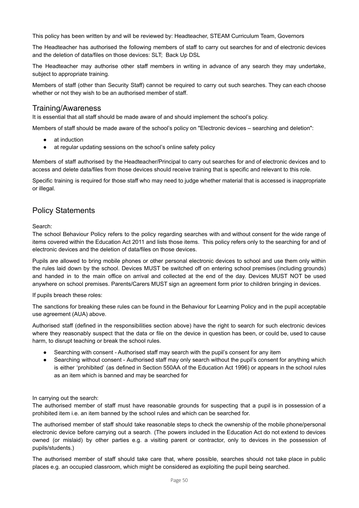This policy has been written by and will be reviewed by: Headteacher, STEAM Curriculum Team, Governors

The Headteacher has authorised the following members of staff to carry out searches for and of electronic devices and the deletion of data/files on those devices: SLT; Back Up DSL

The Headteacher may authorise other staff members in writing in advance of any search they may undertake, subject to appropriate training.

Members of staff (other than Security Staff) cannot be required to carry out such searches. They can each choose whether or not they wish to be an authorised member of staff.

#### Training/Awareness

It is essential that all staff should be made aware of and should implement the school's policy.

Members of staff should be made aware of the school's policy on "Electronic devices – searching and deletion":

- at induction
- at regular updating sessions on the school's online safety policy

Members of staff authorised by the Headteacher/Principal to carry out searches for and of electronic devices and to access and delete data/files from those devices should receive training that is specific and relevant to this role.

Specific training is required for those staff who may need to judge whether material that is accessed is inappropriate or illegal.

#### Policy Statements

Search:

The school Behaviour Policy refers to the policy regarding searches with and without consent for the wide range of items covered within the Education Act 2011 and lists those items. This policy refers only to the searching for and of electronic devices and the deletion of data/files on those devices.

Pupils are allowed to bring mobile phones or other personal electronic devices to school and use them only within the rules laid down by the school. Devices MUST be switched off on entering school premises (including grounds) and handed in to the main office on arrival and collected at the end of the day. Devices MUST NOT be used anywhere on school premises. Parents/Carers MUST sign an agreement form prior to children bringing in devices.

If pupils breach these roles:

The sanctions for breaking these rules can be found in the Behaviour for Learning Policy and in the pupil acceptable use agreement (AUA) above.

Authorised staff (defined in the responsibilities section above) have the right to search for such electronic devices where they reasonably suspect that the data or file on the device in question has been, or could be, used to cause harm, to disrupt teaching or break the school rules.

- Searching with consent Authorised staff may search with the pupil's consent for any item
- Searching without consent Authorised staff may only search without the pupil's consent for anything which is either 'prohibited' (as defined in Section 550AA of the Education Act 1996) or appears in the school rules as an item which is banned and may be searched for

In carrying out the search:

The authorised member of staff must have reasonable grounds for suspecting that a pupil is in possession of a prohibited item i.e. an item banned by the school rules and which can be searched for.

The authorised member of staff should take reasonable steps to check the ownership of the mobile phone/personal electronic device before carrying out a search. (The powers included in the Education Act do not extend to devices owned (or mislaid) by other parties e.g. a visiting parent or contractor, only to devices in the possession of pupils/students.)

The authorised member of staff should take care that, where possible, searches should not take place in public places e.g. an occupied classroom, which might be considered as exploiting the pupil being searched.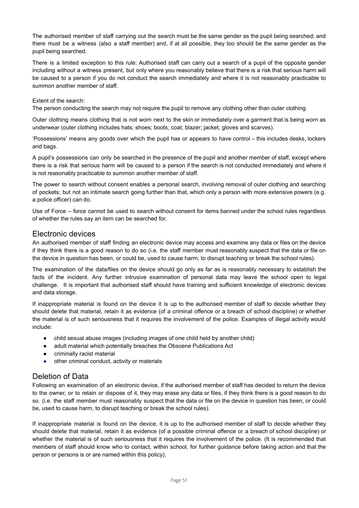The authorised member of staff carrying out the search must be the same gender as the pupil being searched; and there must be a witness (also a staff member) and, if at all possible, they too should be the same gender as the pupil being searched.

There is a limited exception to this rule: Authorised staff can carry out a search of a pupil of the opposite gender including without a witness present, but only where you reasonably believe that there is a risk that serious harm will be caused to a person if you do not conduct the search immediately and where it is not reasonably practicable to summon another member of staff.

#### Extent of the search:

The person conducting the search may not require the pupil to remove any clothing other than outer clothing.

Outer clothing means clothing that is not worn next to the skin or immediately over a garment that is being worn as underwear (outer clothing includes hats; shoes; boots; coat; blazer; jacket; gloves and scarves).

'Possessions' means any goods over which the pupil has or appears to have control – this includes desks, lockers and bags.

A pupil's possessions can only be searched in the presence of the pupil and another member of staff, except where there is a risk that serious harm will be caused to a person if the search is not conducted immediately and where it is not reasonably practicable to summon another member of staff.

The power to search without consent enables a personal search, involving removal of outer clothing and searching of pockets; but not an intimate search going further than that, which only a person with more extensive powers (e.g. a police officer) can do.

Use of Force – force cannot be used to search without consent for items banned under the school rules regardless of whether the rules say an item can be searched for.

#### Electronic devices

An authorised member of staff finding an electronic device may access and examine any data or files on the device if they think there is a good reason to do so (i.e. the staff member must reasonably suspect that the data or file on the device in question has been, or could be, used to cause harm, to disrupt teaching or break the school rules).

The examination of the data/files on the device should go only as far as is reasonably necessary to establish the facts of the incident. Any further intrusive examination of personal data may leave the school open to legal challenge. It is important that authorised staff should have training and sufficient knowledge of electronic devices and data storage.

If inappropriate material is found on the device it is up to the authorised member of staff to decide whether they should delete that material, retain it as evidence (of a criminal offence or a breach of school discipline) or whether the material is of such seriousness that it requires the involvement of the police. Examples of illegal activity would include:

- child sexual abuse images (including images of one child held by another child)
- adult material which potentially breaches the Obscene Publications Act
- criminally racist material
- other criminal conduct, activity or materials

## Deletion of Data

Following an examination of an electronic device, if the authorised member of staff has decided to return the device to the owner, or to retain or dispose of it, they may erase any data or files, if they think there is a good reason to do so. (i.e. the staff member must reasonably suspect that the data or file on the device in question has been, or could be, used to cause harm, to disrupt teaching or break the school rules).

If inappropriate material is found on the device, it is up to the authorised member of staff to decide whether they should delete that material, retain it as evidence (of a possible criminal offence or a breach of school discipline) or whether the material is of such seriousness that it requires the involvement of the police. (It is recommended that members of staff should know who to contact, within school, for further guidance before taking action and that the person or persons is or are named within this policy).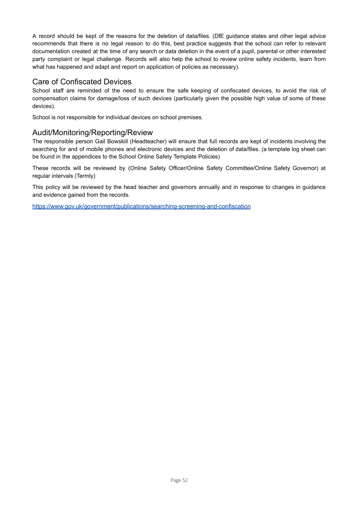A record should be kept of the reasons for the deletion of data/files. (DfE guidance states and other legal advice recommends that there is no legal reason to do this, best practice suggests that the school can refer to relevant documentation created at the time of any search or data deletion in the event of a pupil, parental or other interested party complaint or legal challenge. Records will also help the school to review online safety incidents, learn from what has happened and adapt and report on application of policies as necessary).

## Care of Confiscated Devices

School staff are reminded of the need to ensure the safe keeping of confiscated devices, to avoid the risk of compensation claims for damage/loss of such devices (particularly given the possible high value of some of these devices).

School is not responsible for individual devices on school premises.

## Audit/Monitoring/Reporting/Review

The responsible person Gail Bowskill (Headteacher) will ensure that full records are kept of incidents involving the searching for and of mobile phones and electronic devices and the deletion of data/files. (a template log sheet can be found in the appendices to the School Online Safety Template Policies)

These records will be reviewed by (Online Safety Officer/Online Safety Committee/Online Safety Governor) at regular intervals (Termly)

This policy will be reviewed by the head teacher and governors annually and in response to changes in guidance and evidence gained from the records.

<https://www.gov.uk/government/publications/searching-screening-and-confiscation>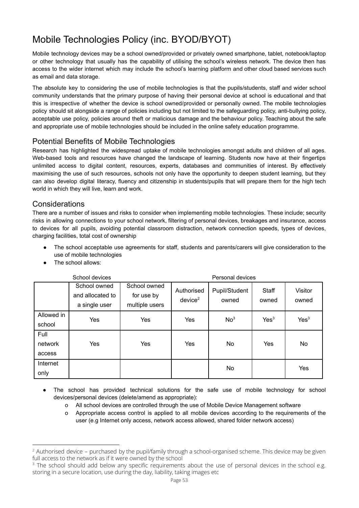## <span id="page-53-0"></span>Mobile Technologies Policy (inc. BYOD/BYOT)

Mobile technology devices may be a school owned/provided or privately owned smartphone, tablet, notebook/laptop or other technology that usually has the capability of utilising the school's wireless network. The device then has access to the wider internet which may include the school's learning platform and other cloud based services such as email and data storage.

The absolute key to considering the use of mobile technologies is that the pupils/students, staff and wider school community understands that the primary purpose of having their personal device at school is educational and that this is irrespective of whether the device is school owned/provided or personally owned. The mobile technologies policy should sit alongside a range of policies including but not limited to the safeguarding policy, anti-bullying policy, acceptable use policy, policies around theft or malicious damage and the behaviour policy. Teaching about the safe and appropriate use of mobile technologies should be included in the online safety education programme.

## Potential Benefits of Mobile Technologies

Research has highlighted the widespread uptake of mobile technologies amongst adults and children of all ages. Web-based tools and resources have changed the landscape of learning. Students now have at their fingertips unlimited access to digital content, resources, experts, databases and communities of interest. By effectively maximising the use of such resources, schools not only have the opportunity to deepen student learning, but they can also develop digital literacy, fluency and citizenship in students/pupils that will prepare them for the high tech world in which they will live, learn and work.

## **Considerations**

There are a number of issues and risks to consider when implementing mobile technologies. These include; security risks in allowing connections to your school network, filtering of personal devices, breakages and insurance, access to devices for all pupils, avoiding potential classroom distraction, network connection speeds, types of devices, charging facilities, total cost of ownership

- The school acceptable use agreements for staff, students and parents/carers will give consideration to the use of mobile technologies
- The school allows:

|                           | School devices                                    |                                              |                                   | Personal devices       |                  |                  |
|---------------------------|---------------------------------------------------|----------------------------------------------|-----------------------------------|------------------------|------------------|------------------|
|                           | School owned<br>and allocated to<br>a single user | School owned<br>for use by<br>multiple users | Authorised<br>device <sup>2</sup> | Pupil/Student<br>owned | Staff<br>owned   | Visitor<br>owned |
| Allowed in<br>school      | Yes                                               | Yes                                          | Yes                               | No <sup>3</sup>        | Yes <sup>3</sup> | Yes <sup>3</sup> |
| Full<br>network<br>access | Yes                                               | Yes                                          | Yes                               | No                     | Yes              | No               |
| Internet<br>only          |                                                   |                                              |                                   | No                     |                  | Yes              |

- The school has provided technical solutions for the safe use of mobile technology for school devices/personal devices (delete/amend as appropriate):
	- o All school devices are controlled through the use of Mobile Device Management software
	- o Appropriate access control is applied to all mobile devices according to the requirements of the user (e.g Internet only access, network access allowed, shared folder network access)

<sup>&</sup>lt;sup>2</sup> Authorised device – purchased by the pupil/family through a school-organised scheme. This device may be given full access to the network as if it were owned by the school

<sup>&</sup>lt;sup>3</sup> The school should add below any specific requirements about the use of personal devices in the school e.g. storing in a secure location, use during the day, liability, taking images etc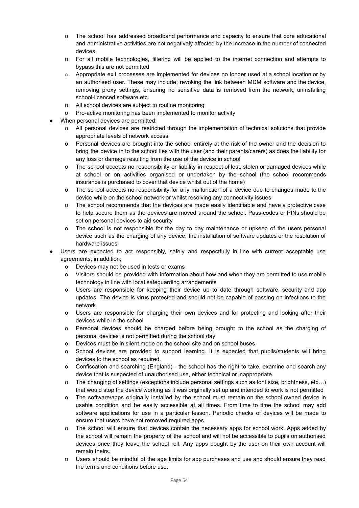- o The school has addressed broadband performance and capacity to ensure that core educational and administrative activities are not negatively affected by the increase in the number of connected devices
- o For all mobile technologies, filtering will be applied to the internet connection and attempts to bypass this are not permitted
- $\circ$  Appropriate exit processes are implemented for devices no longer used at a school location or by an authorised user. These may include; revoking the link between MDM software and the device, removing proxy settings, ensuring no sensitive data is removed from the network, uninstalling school-licenced software etc.
- o All school devices are subject to routine monitoring
- o Pro-active monitoring has been implemented to monitor activity
- When personal devices are permitted:
	- o All personal devices are restricted through the implementation of technical solutions that provide appropriate levels of network access
	- o Personal devices are brought into the school entirely at the risk of the owner and the decision to bring the device in to the school lies with the user (and their parents/carers) as does the liability for any loss or damage resulting from the use of the device in school
	- o The school accepts no responsibility or liability in respect of lost, stolen or damaged devices while at school or on activities organised or undertaken by the school (the school recommends insurance is purchased to cover that device whilst out of the home)
	- o The school accepts no responsibility for any malfunction of a device due to changes made to the device while on the school network or whilst resolving any connectivity issues
	- o The school recommends that the devices are made easily identifiable and have a protective case to help secure them as the devices are moved around the school. Pass-codes or PINs should be set on personal devices to aid security
	- o The school is not responsible for the day to day maintenance or upkeep of the users personal device such as the charging of any device, the installation of software updates or the resolution of hardware issues
- Users are expected to act responsibly, safely and respectfully in line with current acceptable use agreements, in addition;
	- o Devices may not be used in tests or exams
	- o Visitors should be provided with information about how and when they are permitted to use mobile technology in line with local safeguarding arrangements
	- o Users are responsible for keeping their device up to date through software, security and app updates. The device is virus protected and should not be capable of passing on infections to the network
	- o Users are responsible for charging their own devices and for protecting and looking after their devices while in the school
	- o Personal devices should be charged before being brought to the school as the charging of personal devices is not permitted during the school day
	- o Devices must be in silent mode on the school site and on school buses
	- o School devices are provided to support learning. It is expected that pupils/students will bring devices to the school as required.
	- o Confiscation and searching (England) the school has the right to take, examine and search any device that is suspected of unauthorised use, either technical or inappropriate.
	- o The changing of settings (exceptions include personal settings such as font size, brightness, etc…) that would stop the device working as it was originally set up and intended to work is not permitted
	- o The software/apps originally installed by the school must remain on the school owned device in usable condition and be easily accessible at all times. From time to time the school may add software applications for use in a particular lesson. Periodic checks of devices will be made to ensure that users have not removed required apps
	- o The school will ensure that devices contain the necessary apps for school work. Apps added by the school will remain the property of the school and will not be accessible to pupils on authorised devices once they leave the school roll. Any apps bought by the user on their own account will remain theirs.
	- o Users should be mindful of the age limits for app purchases and use and should ensure they read the terms and conditions before use.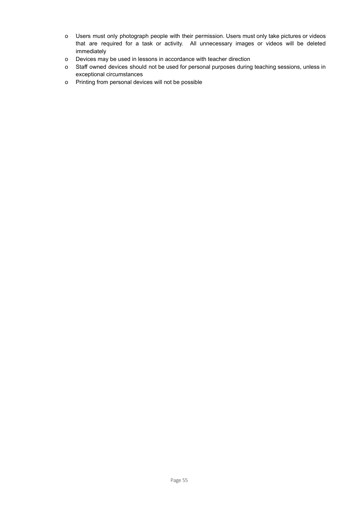- o Users must only photograph people with their permission. Users must only take pictures or videos that are required for a task or activity. All unnecessary images or videos will be deleted immediately
- o Devices may be used in lessons in accordance with teacher direction
- o Staff owned devices should not be used for personal purposes during teaching sessions, unless in exceptional circumstances
- o Printing from personal devices will not be possible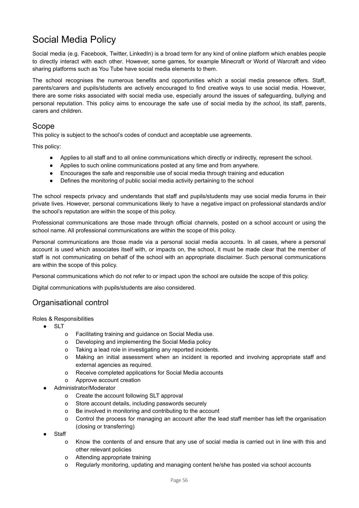## <span id="page-56-0"></span>Social Media Policy

Social media (e.g. Facebook, Twitter, LinkedIn) is a broad term for any kind of online platform which enables people to directly interact with each other. However, some games, for example Minecraft or World of Warcraft and video sharing platforms such as You Tube have social media elements to them.

The school recognises the numerous benefits and opportunities which a social media presence offers. Staff, parents/carers and pupils/students are actively encouraged to find creative ways to use social media. However, there are some risks associated with social media use, especially around the issues of safeguarding, bullying and personal reputation. This policy aims to encourage the safe use of social media by *the school*, its staff, parents, carers and children.

#### Scope

This policy is subject to the school's codes of conduct and acceptable use agreements.

This policy:

- Applies to all staff and to all online communications which directly or indirectly, represent the school.
- Applies to such online communications posted at any time and from anywhere.
- Encourages the safe and responsible use of social media through training and education
- Defines the monitoring of public social media activity pertaining to the school

The school respects privacy and understands that staff and pupils/students may use social media forums in their private lives. However, personal communications likely to have a negative impact on professional standards and/or the school's reputation are within the scope of this policy.

Professional communications are those made through official channels, posted on a school account or using the school name. All professional communications are within the scope of this policy.

Personal communications are those made via a personal social media accounts. In all cases, where a personal account is used which associates itself with, or impacts on, the school, it must be made clear that the member of staff is not communicating on behalf of the school with an appropriate disclaimer. Such personal communications are within the scope of this policy.

Personal communications which do not refer to or impact upon the school are outside the scope of this policy.

Digital communications with pupils/students are also considered.

#### Organisational control

Roles & Responsibilities

- SLT
	- o Facilitating training and guidance on Social Media use.
	- o Developing and implementing the Social Media policy
	- o Taking a lead role in investigating any reported incidents.
	- o Making an initial assessment when an incident is reported and involving appropriate staff and external agencies as required.
	- o Receive completed applications for Social Media accounts
	- o Approve account creation
- Administrator/Moderator
	- o Create the account following SLT approval
	- o Store account details, including passwords securely
	- o Be involved in monitoring and contributing to the account
	- o Control the process for managing an account after the lead staff member has left the organisation (closing or transferring)
- **Staff** 
	- o Know the contents of and ensure that any use of social media is carried out in line with this and other relevant policies
	- o Attending appropriate training
	- o Regularly monitoring, updating and managing content he/she has posted via school accounts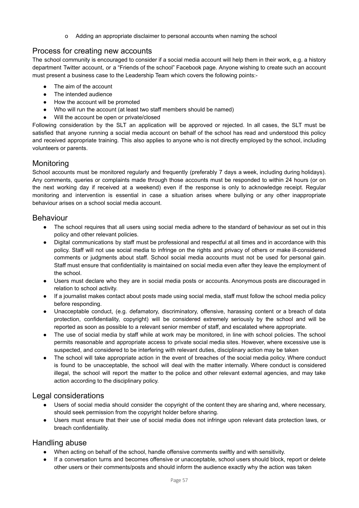o Adding an appropriate disclaimer to personal accounts when naming the school

## Process for creating new accounts

The school community is encouraged to consider if a social media account will help them in their work, e.g. a history department Twitter account, or a "Friends of the school" Facebook page. Anyone wishing to create such an account must present a business case to the Leadership Team which covers the following points:-

- The aim of the account
- The intended audience
- How the account will be promoted
- Who will run the account (at least two staff members should be named)
- Will the account be open or private/closed

Following consideration by the SLT an application will be approved or rejected. In all cases, the SLT must be satisfied that anyone running a social media account on behalf of the school has read and understood this policy and received appropriate training. This also applies to anyone who is not directly employed by the school, including volunteers or parents.

## **Monitoring**

School accounts must be monitored regularly and frequently (preferably 7 days a week, including during holidays). Any comments, queries or complaints made through those accounts must be responded to within 24 hours (or on the next working day if received at a weekend) even if the response is only to acknowledge receipt. Regular monitoring and intervention is essential in case a situation arises where bullying or any other inappropriate behaviour arises on a school social media account.

### Behaviour

- The school requires that all users using social media adhere to the standard of behaviour as set out in this policy and other relevant policies.
- Digital communications by staff must be professional and respectful at all times and in accordance with this policy. Staff will not use social media to infringe on the rights and privacy of others or make ill-considered comments or judgments about staff. School social media accounts must not be used for personal gain. Staff must ensure that confidentiality is maintained on social media even after they leave the employment of the school.
- Users must declare who they are in social media posts or accounts. Anonymous posts are discouraged in relation to school activity.
- If a journalist makes contact about posts made using social media, staff must follow the school media policy before responding.
- *●* Unacceptable conduct, (e.g. defamatory, discriminatory, offensive, harassing content or a breach of data protection, confidentiality, copyright) will be considered extremely seriously by the school and will be reported as soon as possible to a relevant senior member of staff, and escalated where appropriate.
- The use of social media by staff while at work may be monitored, in line with school policies. The school permits reasonable and appropriate access to private social media sites. However, where excessive use is suspected, and considered to be interfering with relevant duties, disciplinary action may be taken
- The school will take appropriate action in the event of breaches of the social media policy. Where conduct is found to be unacceptable, the school will deal with the matter internally. Where conduct is considered illegal, the school will report the matter to the police and other relevant external agencies, and may take action according to the disciplinary policy.

## Legal considerations

- Users of social media should consider the copyright of the content they are sharing and, where necessary, should seek permission from the copyright holder before sharing.
- Users must ensure that their use of social media does not infringe upon relevant data protection laws, or breach confidentiality.

#### Handling abuse

- When acting on behalf of the school, handle offensive comments swiftly and with sensitivity.
- If a conversation turns and becomes offensive or unacceptable, school users should block, report or delete other users or their comments/posts and should inform the audience exactly why the action was taken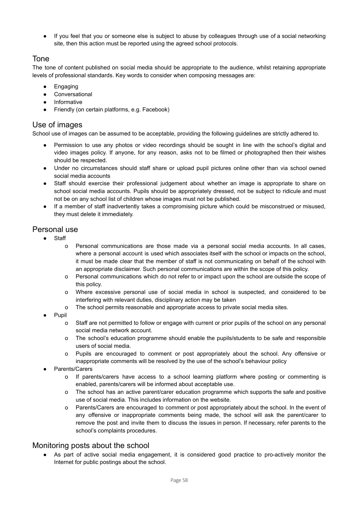● If you feel that you or someone else is subject to abuse by colleagues through use of a social networking site, then this action must be reported using the agreed school protocols.

## Tone

The tone of content published on social media should be appropriate to the audience, whilst retaining appropriate levels of professional standards. Key words to consider when composing messages are:

- Engaging
- Conversational
- Informative
- Friendly (on certain platforms, e.g. Facebook)

## Use of images

School use of images can be assumed to be acceptable, providing the following guidelines are strictly adhered to.

- Permission to use any photos or video recordings should be sought in line with the school's digital and video images policy. If anyone, for any reason, asks not to be filmed or photographed then their wishes should be respected.
- Under no circumstances should staff share or upload pupil pictures online other than via school owned social media accounts
- Staff should exercise their professional judgement about whether an image is appropriate to share on school social media accounts. Pupils should be appropriately dressed, not be subject to ridicule and must not be on any school list of children whose images must not be published.
- If a member of staff inadvertently takes a compromising picture which could be misconstrued or misused, they must delete it immediately.

## Personal use

- Staff
	- o Personal communications are those made via a personal social media accounts. In all cases, where a personal account is used which associates itself with the school or impacts on the school, it must be made clear that the member of staff is not communicating on behalf of the school with an appropriate disclaimer. Such personal communications are within the scope of this policy.
	- o Personal communications which do not refer to or impact upon the school are outside the scope of this policy.
	- o Where excessive personal use of social media in school is suspected, and considered to be interfering with relevant duties, disciplinary action may be taken
	- o The school permits reasonable and appropriate access to private social media sites.
- Pupil
	- o Staff are not permitted to follow or engage with current or prior pupils of the school on any personal social media network account.
	- o The school's education programme should enable the pupils/students to be safe and responsible users of social media.
	- o Pupils are encouraged to comment or post appropriately about the school. Any offensive or inappropriate comments will be resolved by the use of the school's behaviour policy
- **Parents/Carers** 
	- o If parents/carers have access to a school learning platform where posting or commenting is enabled, parents/carers will be informed about acceptable use.
	- o The school has an active parent/carer education programme which supports the safe and positive use of social media. This includes information on the website.
	- o Parents/Carers are encouraged to comment or post appropriately about the school. In the event of any offensive or inappropriate comments being made, the school will ask the parent/carer to remove the post and invite them to discuss the issues in person. If necessary, refer parents to the school's complaints procedures.

#### Monitoring posts about the school

As part of active social media engagement, it is considered good practice to pro-actively monitor the Internet for public postings about the school.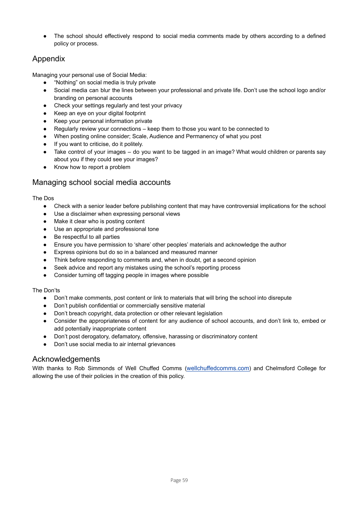The school should effectively respond to social media comments made by others according to a defined policy or process.

## Appendix

Managing your personal use of Social Media:

- "Nothing" on social media is truly private
- Social media can blur the lines between your professional and private life. Don't use the school logo and/or branding on personal accounts
- Check your settings regularly and test your privacy
- Keep an eye on your digital footprint
- Keep your personal information private
- Regularly review your connections keep them to those you want to be connected to
- When posting online consider; Scale, Audience and Permanency of what you post
- If you want to criticise, do it politely.
- Take control of your images do you want to be tagged in an image? What would children or parents say about you if they could see your images?
- Know how to report a problem

### Managing school social media accounts

The Dos

- Check with a senior leader before publishing content that may have controversial implications for the school
- Use a disclaimer when expressing personal views
- Make it clear who is posting content
- Use an appropriate and professional tone
- Be respectful to all parties
- Ensure you have permission to 'share' other peoples' materials and acknowledge the author
- Express opinions but do so in a balanced and measured manner
- Think before responding to comments and, when in doubt, get a second opinion
- Seek advice and report any mistakes using the school's reporting process
- Consider turning off tagging people in images where possible

#### The Don'ts

- Don't make comments, post content or link to materials that will bring the school into disrepute
- Don't publish confidential or commercially sensitive material
- Don't breach copyright, data protection or other relevant legislation
- Consider the appropriateness of content for any audience of school accounts, and don't link to, embed or add potentially inappropriate content
- Don't post derogatory, defamatory, offensive, harassing or discriminatory content
- Don't use social media to air internal grievances

#### Acknowledgements

With thanks to Rob Simmonds of Well Chuffed Comms ([wellchuffedcomms.com](http://wellchuffedcomms.com)) and Chelmsford College for allowing the use of their policies in the creation of this policy.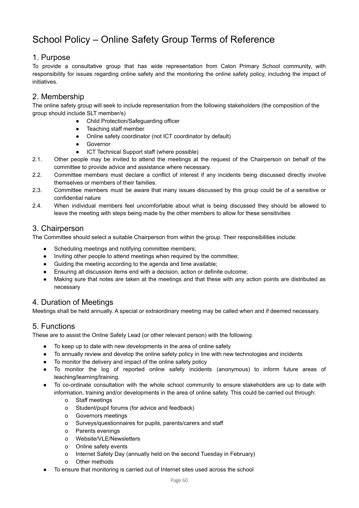## <span id="page-60-0"></span>School Policy – Online Safety Group Terms of Reference

### 1. Purpose

To provide a consultative group that has wide representation from Caton Primary School community, with responsibility for issues regarding online safety and the monitoring the online safety policy, including the impact of initiatives.

## 2. Membership

The online safety group will seek to include representation from the following stakeholders (the composition of the group should include SLT member/s)

- Child Protection/Safeguarding officer
- Teaching staff member
- Online safety coordinator (not ICT coordinator by default)
- Governor
- ICT Technical Support staff (where possible)
- 2.1. Other people may be invited to attend the meetings at the request of the Chairperson on behalf of the committee to provide advice and assistance where necessary.
- 2.2. Committee members must declare a conflict of interest if any incidents being discussed directly involve themselves or members of their families.
- 2.3. Committee members must be aware that many issues discussed by this group could be of a sensitive or confidential nature
- 2.4. When individual members feel uncomfortable about what is being discussed they should be allowed to leave the meeting with steps being made by the other members to allow for these sensitivities

## 3. Chairperson

The Committee should select a suitable Chairperson from within the group. Their responsibilities include:

- Scheduling meetings and notifying committee members;
- Inviting other people to attend meetings when required by the committee;
- Guiding the meeting according to the agenda and time available;
- Ensuring all discussion items end with a decision, action or definite outcome;
- Making sure that notes are taken at the meetings and that these with any action points are distributed as necessary

## 4. Duration of Meetings

Meetings shall be held annually. A special or extraordinary meeting may be called when and if deemed necessary.

## 5. Functions

These are to assist the Online Safety Lead (or other relevant person) with the following:

- To keep up to date with new developments in the area of online safety
- To annually review and develop the online safety policy in line with new technologies and incidents
- To monitor the delivery and impact of the online safety policy
- To monitor the log of reported online safety incidents (anonymous) to inform future areas of teaching/learning/training.
- To co-ordinate consultation with the whole school community to ensure stakeholders are up to date with information, training and/or developments in the area of online safety. This could be carried out through:
	- o Staff meetings
	- o Student/pupil forums (for advice and feedback)
	- o Governors meetings
	- o Surveys/questionnaires for pupils, parents/carers and staff
	- o Parents evenings
	- o Website/VLE/Newsletters
	- o Online safety events
	- o Internet Safety Day (annually held on the second Tuesday in February)
	- o Other methods
- To ensure that monitoring is carried out of Internet sites used across the school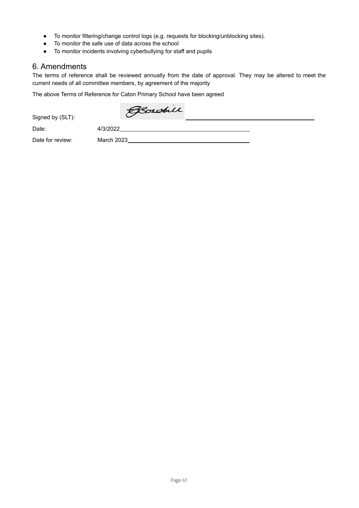- To monitor filtering/change control logs (e.g. requests for blocking/unblocking sites).
- To monitor the safe use of data across the school
- To monitor incidents involving cyberbullying for staff and pupils

#### 6. Amendments

The terms of reference shall be reviewed annually from the date of approval. They may be altered to meet the current needs of all committee members, by agreement of the majority

The above Terms of Reference for Caton Primary School have been agreed

Bowsbill

Signed by (SLT):

Date: 4/3/2022

Date for review: March 2023<br>
March 2023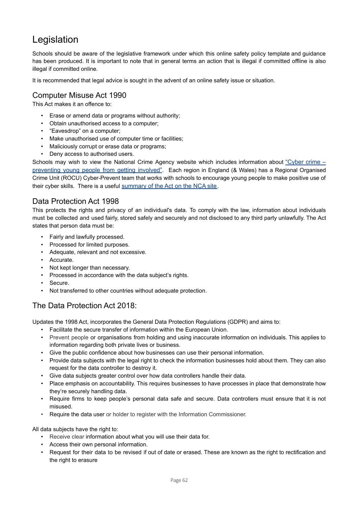## <span id="page-62-0"></span>Legislation

Schools should be aware of the legislative framework under which this online safety policy template and guidance has been produced. It is important to note that in general terms an action that is illegal if committed offline is also illegal if committed online.

It is recommended that legal advice is sought in the advent of an online safety issue or situation.

### Computer Misuse Act 1990

This Act makes it an offence to:

- Erase or amend data or programs without authority;
- Obtain unauthorised access to a computer;
- "Eavesdrop" on a computer;
- Make unauthorised use of computer time or facilities;
- Maliciously corrupt or erase data or programs;
- Deny access to authorised users.

Schools may wish to view the National Crime Agency website which includes information about ["Cyber](https://www.nationalcrimeagency.gov.uk/what-we-do/crime-threats/cyber-crime/cyber-crime-preventing-young-people-from-getting-involved) crime – [preventing](https://www.nationalcrimeagency.gov.uk/what-we-do/crime-threats/cyber-crime/cyber-crime-preventing-young-people-from-getting-involved) young people from getting involved". Each region in England (& Wales) has a Regional Organised Crime Unit (ROCU) Cyber-Prevent team that works with schools to encourage young people to make positive use of their cyber skills. There is a useful [summary](https://nationalcrimeagency.gov.uk/who-we-are/publications/75-guide-to-the-computer-misuse-act/file) of the Act on the NCA site.

## Data Protection Act 1998

This protects the rights and privacy of an individual's data. To comply with the law, information about individuals must be collected and used fairly, stored safely and securely and not disclosed to any third party unlawfully. The Act states that person data must be:

- Fairly and lawfully processed.
- Processed for limited purposes.
- Adequate, relevant and not excessive.
- Accurate.
- Not kept longer than necessary.
- Processed in accordance with the data subject's rights.
- Secure.
- Not transferred to other countries without adequate protection.

## The Data Protection Act 2018:

Updates the 1998 Act, incorporates the General Data Protection Regulations (GDPR) and aims to:

- Facilitate the secure transfer of information within the European Union.
- Prevent people or organisations from holding and using inaccurate information on individuals. This applies to information regarding both private lives or business.
- Give the public confidence about how businesses can use their personal information.
- Provide data subjects with the legal right to check the information businesses hold about them. They can also request for the data controller to destroy it.
- Give data subjects greater control over how data controllers handle their data.
- Place emphasis on accountability. This requires businesses to have processes in place that demonstrate how they're securely handling data.
- Require firms to keep people's personal data safe and secure. Data controllers must ensure that it is not misused.
- Require the data user or holder to register with the Information Commissioner.

All data subjects have the right to:

- Receive clear information about what you will use their data for.
- Access their own personal information.
- Request for their data to be revised if out of date or erased. These are known as the right to rectification and the right to erasure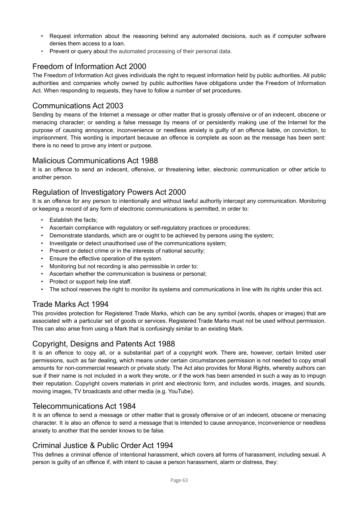- Request information about the reasoning behind any automated decisions, such as if computer software denies them access to a loan.
- Prevent or query about the automated processing of their personal data.

## Freedom of Information Act 2000

The Freedom of Information Act gives individuals the right to request information held by public authorities. All public authorities and companies wholly owned by public authorities have obligations under the Freedom of Information Act. When responding to requests, they have to follow a number of set procedures.

### Communications Act 2003

Sending by means of the Internet a message or other matter that is grossly offensive or of an indecent, obscene or menacing character; or sending a false message by means of or persistently making use of the Internet for the purpose of causing annoyance, inconvenience or needless anxiety is guilty of an offence liable, on conviction, to imprisonment. This wording is important because an offence is complete as soon as the message has been sent: there is no need to prove any intent or purpose.

#### Malicious Communications Act 1988

It is an offence to send an indecent, offensive, or threatening letter, electronic communication or other article to another person.

## Regulation of Investigatory Powers Act 2000

It is an offence for any person to intentionally and without lawful authority intercept any communication. Monitoring or keeping a record of any form of electronic communications is permitted, in order to:

- Establish the facts;
- Ascertain compliance with regulatory or self-regulatory practices or procedures;
- Demonstrate standards, which are or ought to be achieved by persons using the system;
- Investigate or detect unauthorised use of the communications system;
- Prevent or detect crime or in the interests of national security;
- Ensure the effective operation of the system.
- Monitoring but not recording is also permissible in order to:
- Ascertain whether the communication is business or personal;
- Protect or support help line staff.
- The school reserves the right to monitor its systems and communications in line with its rights under this act.

## Trade Marks Act 1994

This provides protection for Registered Trade Marks, which can be any symbol (words, shapes or images) that are associated with a particular set of goods or services. Registered Trade Marks must not be used without permission. This can also arise from using a Mark that is confusingly similar to an existing Mark.

## Copyright, Designs and Patents Act 1988

It is an offence to copy all, or a substantial part of a copyright work. There are, however, certain limited user permissions, such as fair dealing, which means under certain circumstances permission is not needed to copy small amounts for non-commercial research or private study. The Act also provides for Moral Rights, whereby authors can sue if their name is not included in a work they wrote, or if the work has been amended in such a way as to impugn their reputation. Copyright covers materials in print and electronic form, and includes words, images, and sounds, moving images, TV broadcasts and other media (e.g. YouTube).

#### Telecommunications Act 1984

It is an offence to send a message or other matter that is grossly offensive or of an indecent, obscene or menacing character. It is also an offence to send a message that is intended to cause annoyance, inconvenience or needless anxiety to another that the sender knows to be false.

## Criminal Justice & Public Order Act 1994

This defines a criminal offence of intentional harassment, which covers all forms of harassment, including sexual. A person is guilty of an offence if, with intent to cause a person harassment, alarm or distress, they: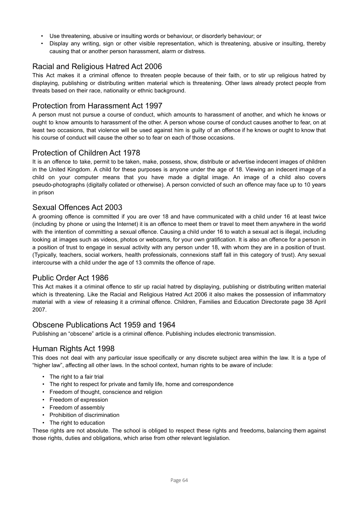- Use threatening, abusive or insulting words or behaviour, or disorderly behaviour; or
- Display any writing, sign or other visible representation, which is threatening, abusive or insulting, thereby causing that or another person harassment, alarm or distress.

## Racial and Religious Hatred Act 2006

This Act makes it a criminal offence to threaten people because of their faith, or to stir up religious hatred by displaying, publishing or distributing written material which is threatening. Other laws already protect people from threats based on their race, nationality or ethnic background.

### Protection from Harassment Act 1997

A person must not pursue a course of conduct, which amounts to harassment of another, and which he knows or ought to know amounts to harassment of the other. A person whose course of conduct causes another to fear, on at least two occasions, that violence will be used against him is guilty of an offence if he knows or ought to know that his course of conduct will cause the other so to fear on each of those occasions.

#### Protection of Children Act 1978

It is an offence to take, permit to be taken, make, possess, show, distribute or advertise indecent images of children in the United Kingdom. A child for these purposes is anyone under the age of 18. Viewing an indecent image of a child on your computer means that you have made a digital image. An image of a child also covers pseudo-photographs (digitally collated or otherwise). A person convicted of such an offence may face up to 10 years in prison

### Sexual Offences Act 2003

A grooming offence is committed if you are over 18 and have communicated with a child under 16 at least twice (including by phone or using the Internet) it is an offence to meet them or travel to meet them anywhere in the world with the intention of committing a sexual offence. Causing a child under 16 to watch a sexual act is illegal, including looking at images such as videos, photos or webcams, for your own gratification. It is also an offence for a person in a position of trust to engage in sexual activity with any person under 18, with whom they are in a position of trust. (Typically, teachers, social workers, health professionals, connexions staff fall in this category of trust). Any sexual intercourse with a child under the age of 13 commits the offence of rape.

## Public Order Act 1986

This Act makes it a criminal offence to stir up racial hatred by displaying, publishing or distributing written material which is threatening. Like the Racial and Religious Hatred Act 2006 it also makes the possession of inflammatory material with a view of releasing it a criminal offence. Children, Families and Education Directorate page 38 April 2007.

#### Obscene Publications Act 1959 and 1964

Publishing an "obscene" article is a criminal offence. Publishing includes electronic transmission.

#### Human Rights Act 1998

This does not deal with any particular issue specifically or any discrete subject area within the law. It is a type of "higher law", affecting all other laws. In the school context, human rights to be aware of include:

- The right to a fair trial
- The right to respect for private and family life, home and correspondence
- Freedom of thought, conscience and religion
- Freedom of expression
- Freedom of assembly
- Prohibition of discrimination
- The right to education

These rights are not absolute. The school is obliged to respect these rights and freedoms, balancing them against those rights, duties and obligations, which arise from other relevant legislation.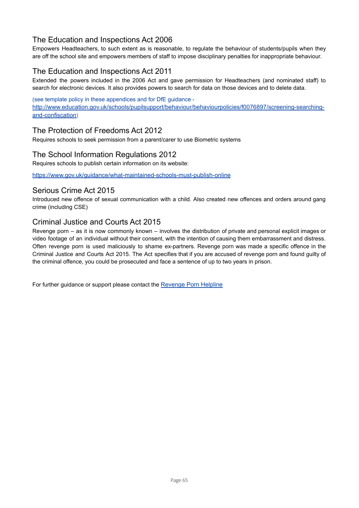## The Education and Inspections Act 2006

Empowers Headteachers, to such extent as is reasonable, to regulate the behaviour of students/pupils when they are off the school site and empowers members of staff to impose disciplinary penalties for inappropriate behaviour.

## The Education and Inspections Act 2011

Extended the powers included in the 2006 Act and gave permission for Headteachers (and nominated staff) to search for electronic devices. It also provides powers to search for data on those devices and to delete data.

(see template policy in these appendices and for DfE guidance [http://www.education.gov.uk/schools/pupilsupport/behaviour/behaviourpolicies/f0076897/screening-searching](http://www.education.gov.uk/schools/pupilsupport/behaviour/behaviourpolicies/f0076897/screening-searching-and-confiscation)[and-confiscation](http://www.education.gov.uk/schools/pupilsupport/behaviour/behaviourpolicies/f0076897/screening-searching-and-confiscation))

#### The Protection of Freedoms Act 2012

Requires schools to seek permission from a parent/carer to use Biometric systems

#### The School Information Regulations 2012

Requires schools to publish certain information on its website:

<https://www.gov.uk/guidance/what-maintained-schools-must-publish-online>

#### Serious Crime Act 2015

Introduced new offence of sexual communication with a child. Also created new offences and orders around gang crime (including CSE)

#### Criminal Justice and Courts Act 2015

Revenge porn – as it is now commonly known – involves the distribution of private and personal explicit images or video footage of an individual without their consent, with the intention of causing them embarrassment and distress. Often revenge porn is used maliciously to shame ex-partners. Revenge porn was made a specific offence in the Criminal Justice and Courts Act 2015. The Act specifies that if you are accused of revenge porn and found guilty of the criminal offence, you could be prosecuted and face a sentence of up to two years in prison.

For further guidance or support please contact the [Revenge](https://revengepornhelpline.org.uk/) Porn Helpline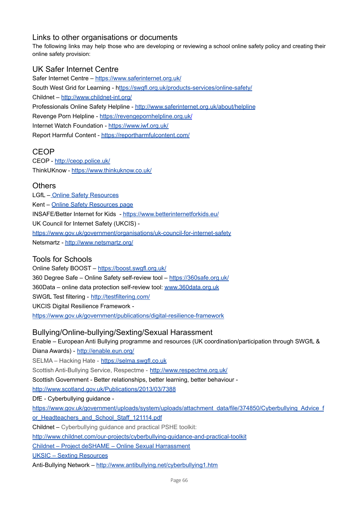## Links to other organisations or documents

The following links may help those who are developing or reviewing a school online safety policy and creating their online safety provision:

## UK Safer Internet Centre

Safer Internet Centre – <https://www.saferinternet.org.uk/> South West Grid for Learning - h[ttps://swgfl.org.uk/products-services/online-safety/](http://www.swgfl.org.uk) Childnet – <http://www.childnet-int.org/> Professionals Online Safety Helpline - <http://www.saferinternet.org.uk/about/helpline> Revenge Porn Helpline - https://revengepornhelpline.org.uk/ Internet Watch Foundation - <https://www.iwf.org.uk/> Report Harmful Content - <https://reportharmfulcontent.com/>

## CEOP

CEOP - <http://ceop.police.uk/> [ThinkUKnow](http://www.thinkuknow.co.uk/) - <https://www.thinkuknow.co.uk/>

### **Others**

LGfL - Online Safety [Resources](https://www.lgfl.net/online-safety/resource-centre?a=3) Kent – Online Safety [Resources](http://www.kelsi.org.uk/child-protection-and-safeguarding/e-safety/e-safety-classroom-materials) page INSAFE/Better Internet for Kids - <https://www.betterinternetforkids.eu/> UK Council for Internet Safety (UKCIS) <https://www.gov.uk/government/organisations/uk-council-for-internet-safety> Netsmartz - <http://www.netsmartz.org/>

## Tools for Schools

Online Safety BOOST – <https://boost.swgfl.org.uk/> 360 Degree Safe – Online Safety self-review tool – <https://360safe.org.uk/> 360Data – online data protection self-review tool: [www.360data.org.uk](http://www.360data.org.uk) SWGfL Test filtering - <http://testfiltering.com/> UKCIS Digital Resilience Framework <https://www.gov.uk/government/publications/digital-resilience-framework>

#### Bullying/Online-bullying/Sexting/Sexual Harassment

Enable – European Anti Bullying programme and resources (UK coordination/participation through SWGfL & Diana Awards) - <http://enable.eun.org/> SELMA – Hacking Hate - <https://selma.swgfl.co.uk> Scottish Anti-Bullying Service, Respectme - <http://www.respectme.org.uk/> Scottish Government - Better relationships, better learning, better behaviour <http://www.scotland.gov.uk/Publications/2013/03/7388> DfE - Cyberbullying guidance [https://www.gov.uk/government/uploads/system/uploads/attachment\\_data/file/374850/Cyberbullying\\_Advice\\_f](https://www.gov.uk/government/uploads/system/uploads/attachment_data/file/374850/Cyberbullying_Advice_for_Headteachers_and_School_Staff_121114.pdf) [or\\_Headteachers\\_and\\_School\\_Staff\\_121114.pdf](https://www.gov.uk/government/uploads/system/uploads/attachment_data/file/374850/Cyberbullying_Advice_for_Headteachers_and_School_Staff_121114.pdf) Childnet – Cyberbullying guidance and practical PSHE toolkit: <http://www.childnet.com/our-projects/cyberbullying-guidance-and-practical-toolkit> Childnet – Project deSHAME – Online Sexual [Harrassment](http://www.childnet.com/our-projects/project-deshame) UKSIC – Sexting [Resources](https://www.saferinternet.org.uk/advice-centre/teachers-and-professionals/teaching-resources/sexting-resources)

Anti-Bullying Network – <http://www.antibullying.net/cyberbullying1.htm>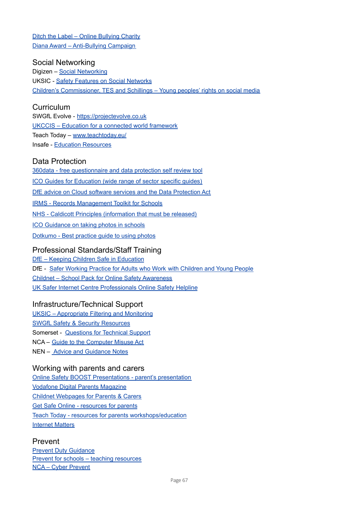Ditch the Label – Online [Bullying](https://www.ditchthelabel.org/) Charity Diana Award – [Anti-Bullying](http://www.antibullyingpro.com/) Campaign

#### Social Networking

Digizen – Social [Networking](http://digizen.org/socialnetworking/) UKSIC - Safety Features on Social [Networks](http://www.saferinternet.org.uk/advice-and-resources/teachers-and-professionals/safety-features) Children's [Commissioner,](https://www.tes.com/teaching-resources/digital-citizenship) TES and Schillings – Young peoples' rights on social media

### **Curriculum**

SWGfL Evolve - <https://projectevolve.co.uk> UKCCIS – Education for a connected world [framework](https://www.gov.uk/government/groups/uk-council-for-child-internet-safety-ukccis) Teach Today – [www.teachtoday.eu/](http://www.teachtoday.de/en/) Insafe - Education [Resources](http://lreforschools.eun.org/web/guest/insafe)

### Data Protection

360data - free [questionnaire](http://360data.org.uk/) and data protection self review tool ICO Guides for [Education](https://ico.org.uk/for-organisations/education/) (wide range of sector specific guides) DfE advice on Cloud software services and the Data [Protection](https://www.gov.uk/government/publications/cloud-software-services-and-the-data-protection-act) Act IRMS - Records [Management](https://c.ymcdn.com/sites/irms.site-ym.com/resource/collection/8BCEF755-0353-4F66-9877-CCDA4BFEEAC4/2016_IRMS_Toolkit_for_Schools_v5_Master.pdf) Toolkit for Schools NHS - Caldicott Principles [\(information](https://www.igt.hscic.gov.uk/Caldicott2Principles.aspx) that must be released) ICO [Guidance](https://ico.org.uk/for-the-public/schools/photos/) on taking photos in schools [Dotkumo](http://campuspr.co.uk/wp-content/uploads/2017/10/Commissioning-original-photography.pdf) - Best practice guide to using photos

### Professional Standards/Staff Training

DfE – Keeping Children Safe in [Education](https://www.gov.uk/government/publications/keeping-children-safe-in-education--2) DfE - Safer Working Practice for Adults who Work with [Children](http://www.safeguardinginschools.co.uk/wp-content/uploads/2015/10/Guidance-for-Safer-Working-Practices-2015-final1.pdf) and Young People Childnet – School Pack for Online Safety [Awareness](http://www.childnet.com/resources/school-pack-for-online-safety-awareness) UK Safer Internet Centre [Professionals](http://www.saferinternet.org.uk/helpline) Online Safety Helpline

#### Infrastructure/Technical Support

UKSIC – [Appropriate](https://www.saferinternet.org.uk/advice-centre/teachers-and-school-staff/appropriate-filtering-and-monitoring) Filtering and Monitoring SWGfL Safety & [Security](https://swgfl.org.uk/resources/) Resources Somerset - [Questions](https://www.somerset.org.uk/sites/edtech/eSafety/Leading/Questions%20for%20Technical%20Support%202018.pdf) for Technical Support NCA – Guide to the [Computer](https://nationalcrimeagency.gov.uk/who-we-are/publications/75-guide-to-the-computer-misuse-act/file) Misuse Act NEN – Advice and [Guidance](https://www.nen.gov.uk/advice/) Notes

#### Working with parents and carers

Online Safety BOOST [Presentations](http://www.swgfl.org.uk/boost) - parent's presentation Vodafone Digital Parents [Magazine](http://www.vodafone.com/content/parents/digital-parenting.html) Childnet [Webpages](http://www.childnet.com/parents-and-carers) for Parents & Carers Get Safe Online - [resources](http://www.getsafeonline.org/nqcontent.cfm?a_id=1182) for parents Teach Today - resources for parents [workshops/education](http://www.teachtoday.de/en/) [Internet](https://www.internetmatters.org/) Matters

## Prevent

Prevent Duty [Guidance](https://www.gov.uk/government/publications/prevent-duty-guidance) Prevent for schools – teaching [resources](http://www.preventforschools.org/) NCA – Cyber [Prevent](https://www.nationalcrimeagency.gov.uk/what-we-do/crime-threats/cyber-crime/cyber-crime-preventing-young-people-from-getting-involved)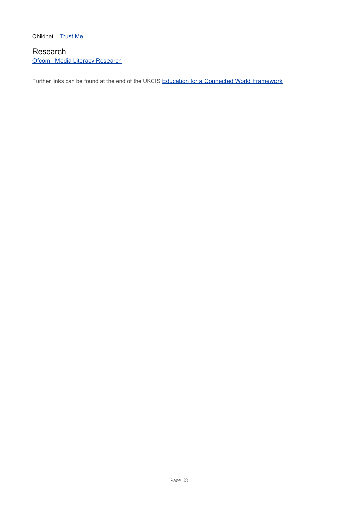Childnet – [Trust](https://www.childnet.com/resources/trust-me) Me

## Research Ofcom –Media Literacy [Research](https://www.ofcom.org.uk/research-and-data/media-literacy-research)

Further links can be found at the end of the UKCIS Education for a Connected World [Framework](https://www.gov.uk/government/publications/education-for-a-connected-world)